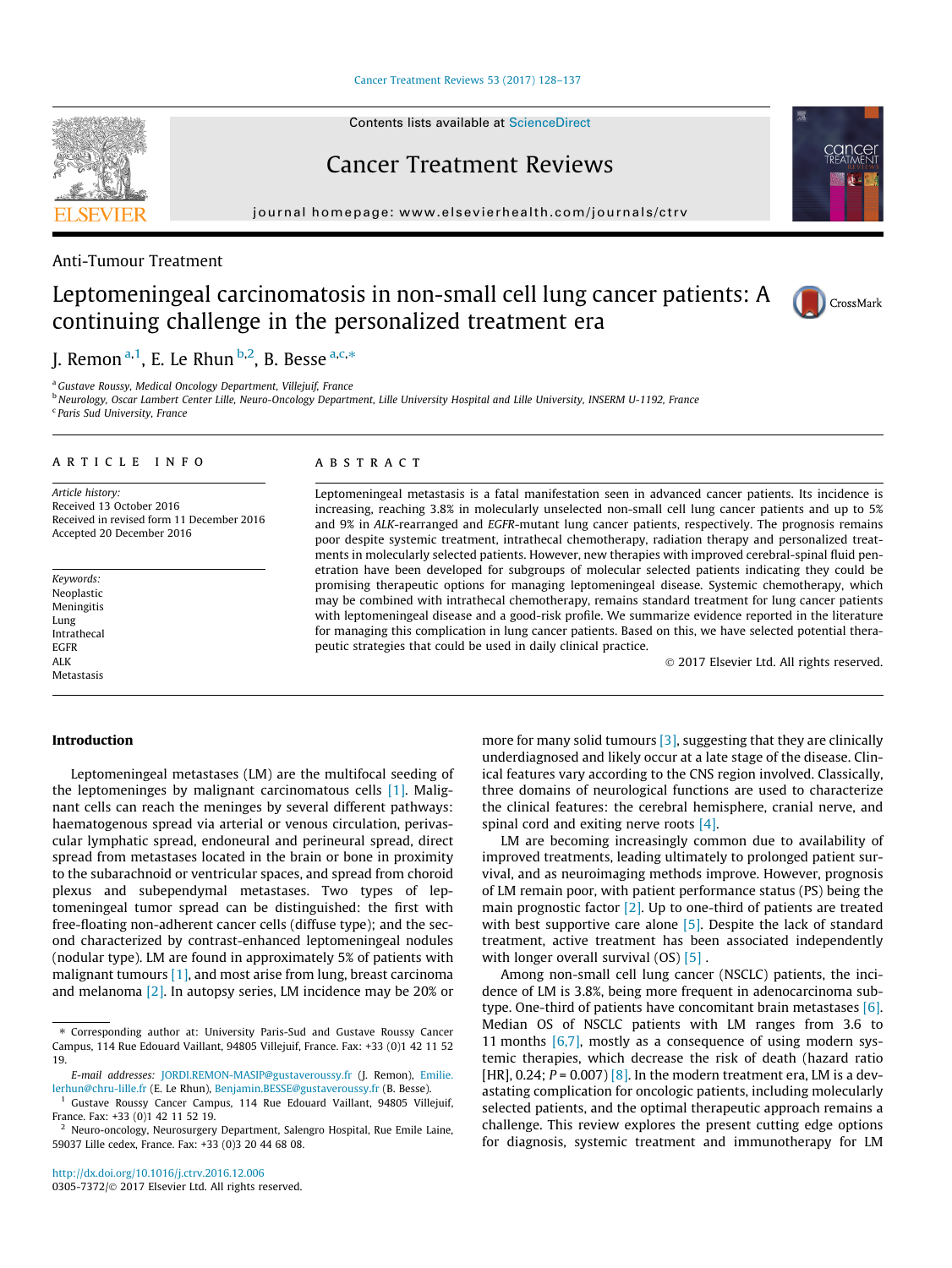[Cancer Treatment Reviews 53 \(2017\) 128–137](http://dx.doi.org/10.1016/j.ctrv.2016.12.006)

# Cancer Treatment Reviews

journal homepage: [www.elsevierhealth.com/journals/ctrv](http://www.elsevierhealth.com/journals/ctrv)

## Anti-Tumour Treatment

# Leptomeningeal carcinomatosis in non-small cell lung cancer patients: A continuing challenge in the personalized treatment era



<sup>a</sup> Gustave Roussy, Medical Oncology Department, Villejuif, France

<sup>b</sup> Neurology, Oscar Lambert Center Lille, Neuro-Oncology Department, Lille University Hospital and Lille University, INSERM U-1192, France

<sup>c</sup> Paris Sud University, France

## article info

Article history: Received 13 October 2016 Received in revised form 11 December 2016 Accepted 20 December 2016

Keywords: Neoplastic Meningitis Lung Intrathecal EGFR ALK Metastasis

#### **ABSTRACT**

Leptomeningeal metastasis is a fatal manifestation seen in advanced cancer patients. Its incidence is increasing, reaching 3.8% in molecularly unselected non-small cell lung cancer patients and up to 5% and 9% in ALK-rearranged and EGFR-mutant lung cancer patients, respectively. The prognosis remains poor despite systemic treatment, intrathecal chemotherapy, radiation therapy and personalized treatments in molecularly selected patients. However, new therapies with improved cerebral-spinal fluid penetration have been developed for subgroups of molecular selected patients indicating they could be promising therapeutic options for managing leptomeningeal disease. Systemic chemotherapy, which may be combined with intrathecal chemotherapy, remains standard treatment for lung cancer patients with leptomeningeal disease and a good-risk profile. We summarize evidence reported in the literature for managing this complication in lung cancer patients. Based on this, we have selected potential therapeutic strategies that could be used in daily clinical practice.

2017 Elsevier Ltd. All rights reserved.

## Introduction

Leptomeningeal metastases (LM) are the multifocal seeding of the leptomeninges by malignant carcinomatous cells [\[1\].](#page-6-0) Malignant cells can reach the meninges by several different pathways: haematogenous spread via arterial or venous circulation, perivascular lymphatic spread, endoneural and perineural spread, direct spread from metastases located in the brain or bone in proximity to the subarachnoid or ventricular spaces, and spread from choroid plexus and subependymal metastases. Two types of leptomeningeal tumor spread can be distinguished: the first with free-floating non-adherent cancer cells (diffuse type); and the second characterized by contrast-enhanced leptomeningeal nodules (nodular type). LM are found in approximately 5% of patients with malignant tumours [\[1\],](#page-6-0) and most arise from lung, breast carcinoma and melanoma [\[2\]](#page-6-0). In autopsy series, LM incidence may be 20% or

E-mail addresses: [JORDI.REMON-MASIP@gustaveroussy.fr](mailto:JORDI.REMON-MASIP@gustaveroussy.fr) (J. Remon), [Emilie.](mailto:Emilie.lerhun@chru-lille.fr) [lerhun@chru-lille.fr](mailto:Emilie.lerhun@chru-lille.fr) (E. Le Rhun), [Benjamin.BESSE@gustaveroussy.fr](mailto:Benjamin.BESSE@gustaveroussy.fr) (B. Besse).

<sup>1</sup> Gustave Roussy Cancer Campus, 114 Rue Edouard Vaillant, 94805 Villejuif, France. Fax: +33 (0)1 42 11 52 19.

more for many solid tumours [\[3\],](#page-6-0) suggesting that they are clinically underdiagnosed and likely occur at a late stage of the disease. Clinical features vary according to the CNS region involved. Classically, three domains of neurological functions are used to characterize the clinical features: the cerebral hemisphere, cranial nerve, and spinal cord and exiting nerve roots [\[4\]](#page-6-0).

LM are becoming increasingly common due to availability of improved treatments, leading ultimately to prolonged patient survival, and as neuroimaging methods improve. However, prognosis of LM remain poor, with patient performance status (PS) being the main prognostic factor [\[2\]](#page-6-0). Up to one-third of patients are treated with best supportive care alone  $[5]$ . Despite the lack of standard treatment, active treatment has been associated independently with longer overall survival (OS) [\[5\]](#page-6-0).

Among non-small cell lung cancer (NSCLC) patients, the incidence of LM is 3.8%, being more frequent in adenocarcinoma subtype. One-third of patients have concomitant brain metastases [\[6\].](#page-6-0) Median OS of NSCLC patients with LM ranges from 3.6 to 11 months  $[6,7]$ , mostly as a consequence of using modern systemic therapies, which decrease the risk of death (hazard ratio [HR], 0.24;  $P = 0.007$  [\[8\]](#page-6-0). In the modern treatment era, LM is a devastating complication for oncologic patients, including molecularly selected patients, and the optimal therapeutic approach remains a challenge. This review explores the present cutting edge options for diagnosis, systemic treatment and immunotherapy for LM





CrossMark

<sup>⇑</sup> Corresponding author at: University Paris-Sud and Gustave Roussy Cancer Campus, 114 Rue Edouard Vaillant, 94805 Villejuif, France. Fax: +33 (0)1 42 11 52 19.

<sup>&</sup>lt;sup>2</sup> Neuro-oncology, Neurosurgery Department, Salengro Hospital, Rue Emile Laine, 59037 Lille cedex, France. Fax: +33 (0)3 20 44 68 08.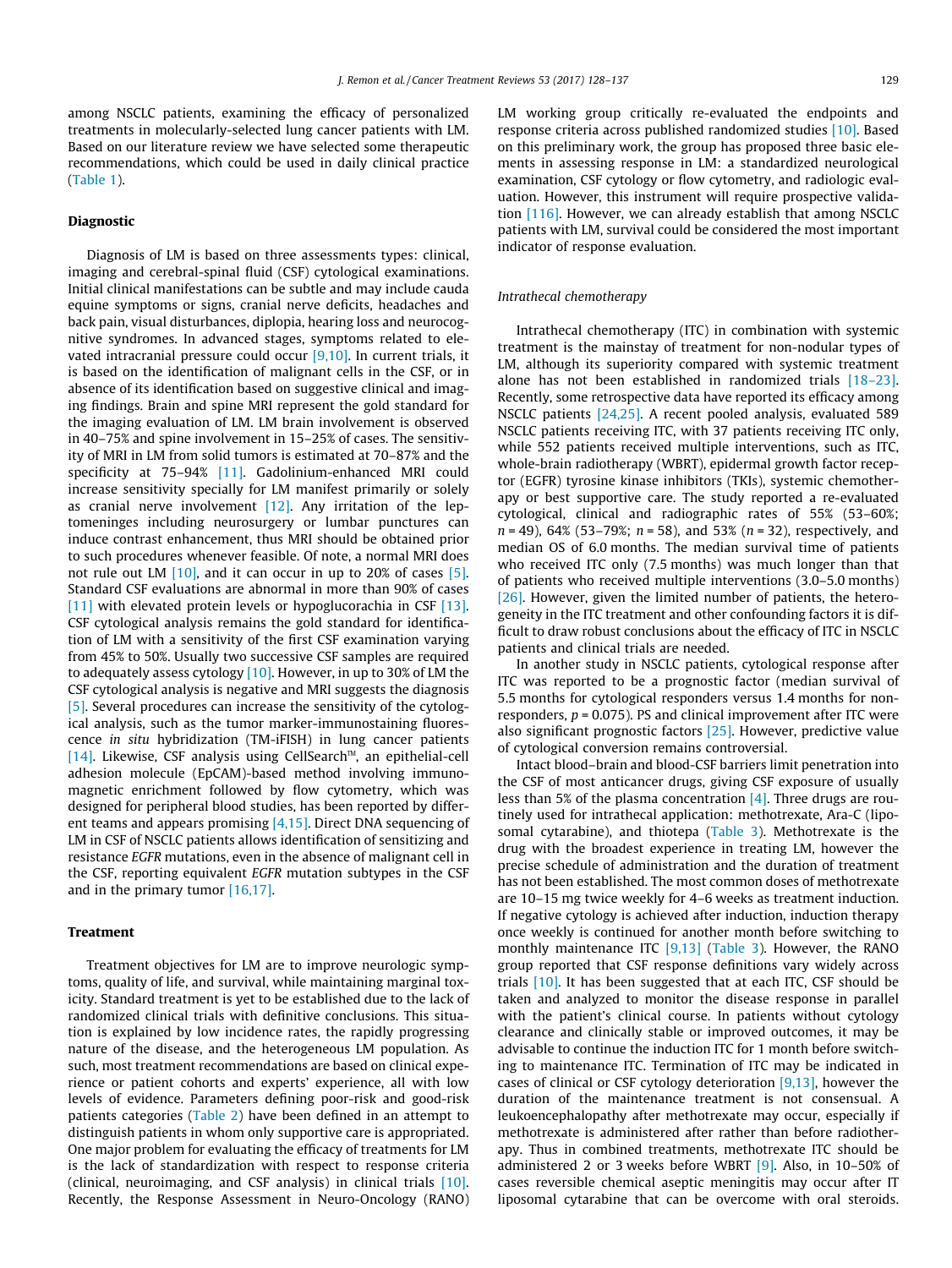among NSCLC patients, examining the efficacy of personalized treatments in molecularly-selected lung cancer patients with LM. Based on our literature review we have selected some therapeutic recommendations, which could be used in daily clinical practice ([Table 1](#page-2-0)).

## Diagnostic

Diagnosis of LM is based on three assessments types: clinical, imaging and cerebral-spinal fluid (CSF) cytological examinations. Initial clinical manifestations can be subtle and may include cauda equine symptoms or signs, cranial nerve deficits, headaches and back pain, visual disturbances, diplopia, hearing loss and neurocognitive syndromes. In advanced stages, symptoms related to elevated intracranial pressure could occur [\[9,10\].](#page-6-0) In current trials, it is based on the identification of malignant cells in the CSF, or in absence of its identification based on suggestive clinical and imaging findings. Brain and spine MRI represent the gold standard for the imaging evaluation of LM. LM brain involvement is observed in 40–75% and spine involvement in 15–25% of cases. The sensitivity of MRI in LM from solid tumors is estimated at 70–87% and the specificity at 75–94% [\[11\]](#page-6-0). Gadolinium-enhanced MRI could increase sensitivity specially for LM manifest primarily or solely as cranial nerve involvement [\[12\].](#page-6-0) Any irritation of the leptomeninges including neurosurgery or lumbar punctures can induce contrast enhancement, thus MRI should be obtained prior to such procedures whenever feasible. Of note, a normal MRI does not rule out LM [\[10\],](#page-6-0) and it can occur in up to 20% of cases [\[5\].](#page-6-0) Standard CSF evaluations are abnormal in more than 90% of cases [\[11\]](#page-6-0) with elevated protein levels or hypoglucorachia in CSF [\[13\].](#page-6-0) CSF cytological analysis remains the gold standard for identification of LM with a sensitivity of the first CSF examination varying from 45% to 50%. Usually two successive CSF samples are required to adequately assess cytology  $[10]$ . However, in up to 30% of LM the CSF cytological analysis is negative and MRI suggests the diagnosis [\[5\]](#page-6-0). Several procedures can increase the sensitivity of the cytological analysis, such as the tumor marker-immunostaining fluorescence in situ hybridization (TM-iFISH) in lung cancer patients  $[14]$ . Likewise, CSF analysis using CellSearch<sup>m</sup>, an epithelial-cell adhesion molecule (EpCAM)-based method involving immunomagnetic enrichment followed by flow cytometry, which was designed for peripheral blood studies, has been reported by different teams and appears promising [\[4,15\].](#page-6-0) Direct DNA sequencing of LM in CSF of NSCLC patients allows identification of sensitizing and resistance EGFR mutations, even in the absence of malignant cell in the CSF, reporting equivalent EGFR mutation subtypes in the CSF and in the primary tumor [\[16,17\]](#page-6-0).

## Treatment

Treatment objectives for LM are to improve neurologic symptoms, quality of life, and survival, while maintaining marginal toxicity. Standard treatment is yet to be established due to the lack of randomized clinical trials with definitive conclusions. This situation is explained by low incidence rates, the rapidly progressing nature of the disease, and the heterogeneous LM population. As such, most treatment recommendations are based on clinical experience or patient cohorts and experts' experience, all with low levels of evidence. Parameters defining poor-risk and good-risk patients categories ([Table 2](#page-2-0)) have been defined in an attempt to distinguish patients in whom only supportive care is appropriated. One major problem for evaluating the efficacy of treatments for LM is the lack of standardization with respect to response criteria (clinical, neuroimaging, and CSF analysis) in clinical trials [\[10\].](#page-6-0) Recently, the Response Assessment in Neuro-Oncology (RANO) LM working group critically re-evaluated the endpoints and response criteria across published randomized studies [\[10\]](#page-6-0). Based on this preliminary work, the group has proposed three basic elements in assessing response in LM: a standardized neurological examination, CSF cytology or flow cytometry, and radiologic evaluation. However, this instrument will require prospective validation [\[116\].](#page-9-0) However, we can already establish that among NSCLC patients with LM, survival could be considered the most important indicator of response evaluation.

## Intrathecal chemotherapy

Intrathecal chemotherapy (ITC) in combination with systemic treatment is the mainstay of treatment for non-nodular types of LM, although its superiority compared with systemic treatment alone has not been established in randomized trials [\[18–23\].](#page-6-0) Recently, some retrospective data have reported its efficacy among NSCLC patients [\[24,25\].](#page-6-0) A recent pooled analysis, evaluated 589 NSCLC patients receiving ITC, with 37 patients receiving ITC only, while 552 patients received multiple interventions, such as ITC, whole-brain radiotherapy (WBRT), epidermal growth factor receptor (EGFR) tyrosine kinase inhibitors (TKIs), systemic chemotherapy or best supportive care. The study reported a re-evaluated cytological, clinical and radiographic rates of 55% (53–60%;  $n = 49$ , 64% (53–79%;  $n = 58$ ), and 53% ( $n = 32$ ), respectively, and median OS of 6.0 months. The median survival time of patients who received ITC only (7.5 months) was much longer than that of patients who received multiple interventions (3.0–5.0 months) [\[26\]](#page-7-0). However, given the limited number of patients, the heterogeneity in the ITC treatment and other confounding factors it is difficult to draw robust conclusions about the efficacy of ITC in NSCLC patients and clinical trials are needed.

In another study in NSCLC patients, cytological response after ITC was reported to be a prognostic factor (median survival of 5.5 months for cytological responders versus 1.4 months for nonresponders,  $p = 0.075$ ). PS and clinical improvement after ITC were also significant prognostic factors [\[25\].](#page-7-0) However, predictive value of cytological conversion remains controversial.

Intact blood–brain and blood-CSF barriers limit penetration into the CSF of most anticancer drugs, giving CSF exposure of usually less than 5% of the plasma concentration [\[4\].](#page-6-0) Three drugs are routinely used for intrathecal application: methotrexate, Ara-C (liposomal cytarabine), and thiotepa [\(Table 3\)](#page-2-0). Methotrexate is the drug with the broadest experience in treating LM, however the precise schedule of administration and the duration of treatment has not been established. The most common doses of methotrexate are 10–15 mg twice weekly for 4–6 weeks as treatment induction. If negative cytology is achieved after induction, induction therapy once weekly is continued for another month before switching to monthly maintenance ITC  $[9,13]$  ([Table 3](#page-2-0)). However, the RANO group reported that CSF response definitions vary widely across trials [\[10\]](#page-6-0). It has been suggested that at each ITC, CSF should be taken and analyzed to monitor the disease response in parallel with the patient's clinical course. In patients without cytology clearance and clinically stable or improved outcomes, it may be advisable to continue the induction ITC for 1 month before switching to maintenance ITC. Termination of ITC may be indicated in cases of clinical or CSF cytology deterioration [\[9,13\]](#page-6-0), however the duration of the maintenance treatment is not consensual. A leukoencephalopathy after methotrexate may occur, especially if methotrexate is administered after rather than before radiotherapy. Thus in combined treatments, methotrexate ITC should be administered 2 or 3 weeks before WBRT [\[9\]](#page-6-0). Also, in 10–50% of cases reversible chemical aseptic meningitis may occur after IT liposomal cytarabine that can be overcome with oral steroids.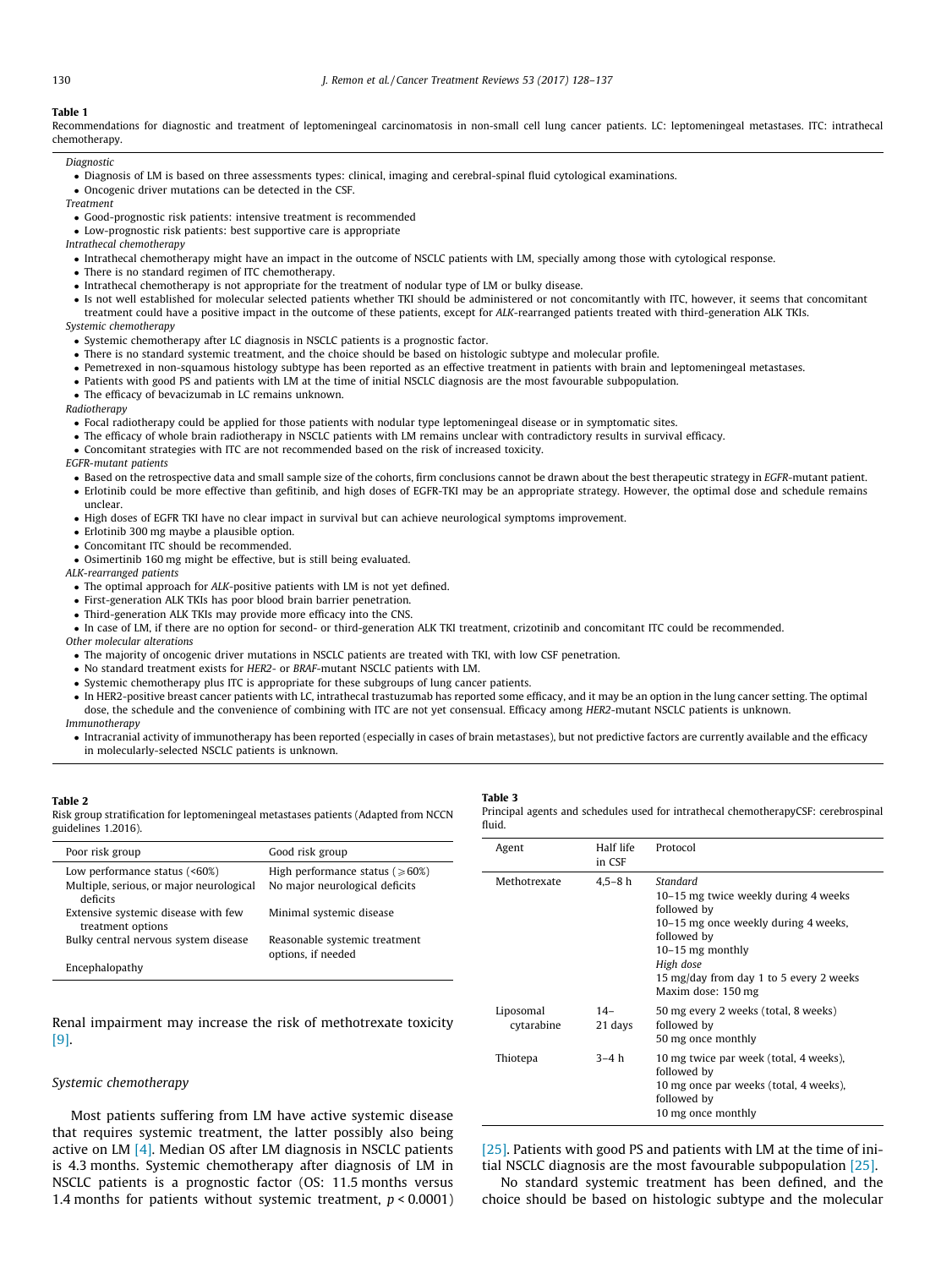#### <span id="page-2-0"></span>Table 1

Recommendations for diagnostic and treatment of leptomeningeal carcinomatosis in non-small cell lung cancer patients. LC: leptomeningeal metastases. ITC: intrathecal chemotherapy.

#### Diagnostic

- Diagnosis of LM is based on three assessments types: clinical, imaging and cerebral-spinal fluid cytological examinations.
- Oncogenic driver mutations can be detected in the CSF.

Treatment

- Good-prognostic risk patients: intensive treatment is recommended
- Low-prognostic risk patients: best supportive care is appropriate

Intrathecal chemotherapy

- Intrathecal chemotherapy might have an impact in the outcome of NSCLC patients with LM, specially among those with cytological response.
- There is no standard regimen of ITC chemotherapy.
- Intrathecal chemotherapy is not appropriate for the treatment of nodular type of LM or bulky disease.
- Is not well established for molecular selected patients whether TKI should be administered or not concomitantly with ITC, however, it seems that concomitant
- treatment could have a positive impact in the outcome of these patients, except for ALK-rearranged patients treated with third-generation ALK TKIs.

Systemic chemotherapy

- Systemic chemotherapy after LC diagnosis in NSCLC patients is a prognostic factor.
- There is no standard systemic treatment, and the choice should be based on histologic subtype and molecular profile.
- Pemetrexed in non-squamous histology subtype has been reported as an effective treatment in patients with brain and leptomeningeal metastases.
- Patients with good PS and patients with LM at the time of initial NSCLC diagnosis are the most favourable subpopulation.
- The efficacy of bevacizumab in LC remains unknown.

Radiotherapy

- Focal radiotherapy could be applied for those patients with nodular type leptomeningeal disease or in symptomatic sites.
- The efficacy of whole brain radiotherapy in NSCLC patients with LM remains unclear with contradictory results in survival efficacy.
- Concomitant strategies with ITC are not recommended based on the risk of increased toxicity.

EGFR-mutant patients

- Based on the retrospective data and small sample size of the cohorts, firm conclusions cannot be drawn about the best therapeutic strategy in EGFR-mutant patient. Erlotinib could be more effective than gefitinib, and high doses of EGFR-TKI may be an appropriate strategy. However, the optimal dose and schedule remains
- unclear.
- High doses of EGFR TKI have no clear impact in survival but can achieve neurological symptoms improvement.
- Erlotinib 300 mg maybe a plausible option.
- Concomitant ITC should be recommended.
- Osimertinib 160 mg might be effective, but is still being evaluated.

ALK-rearranged patients

- The optimal approach for ALK-positive patients with LM is not yet defined.
- First-generation ALK TKIs has poor blood brain barrier penetration.
- Third-generation ALK TKIs may provide more efficacy into the CNS.
- In case of LM, if there are no option for second- or third-generation ALK TKI treatment, crizotinib and concomitant ITC could be recommended.
- Other molecular alterations
- The majority of oncogenic driver mutations in NSCLC patients are treated with TKI, with low CSF penetration.
- No standard treatment exists for HER2- or BRAF-mutant NSCLC patients with LM.
- Systemic chemotherapy plus ITC is appropriate for these subgroups of lung cancer patients.
- In HER2-positive breast cancer patients with LC, intrathecal trastuzumab has reported some efficacy, and it may be an option in the lung cancer setting. The optimal dose, the schedule and the convenience of combining with ITC are not yet consensual. Efficacy among HER2-mutant NSCLC patients is unknown. Immunotherapy
- Intracranial activity of immunotherapy has been reported (especially in cases of brain metastases), but not predictive factors are currently available and the efficacy in molecularly-selected NSCLC patients is unknown.

#### Table 2

Risk group stratification for leptomeningeal metastases patients (Adapted from NCCN guidelines 1.2016).

| Poor risk group                                                                       | Good risk group                                                           |
|---------------------------------------------------------------------------------------|---------------------------------------------------------------------------|
| Low performance status (<60%)<br>Multiple, serious, or major neurological<br>deficits | High performance status ( $\geq 60\%$ )<br>No major neurological deficits |
| Extensive systemic disease with few<br>treatment options                              | Minimal systemic disease                                                  |
| Bulky central nervous system disease                                                  | Reasonable systemic treatment<br>options, if needed                       |
| Encephalopathy                                                                        |                                                                           |

Renal impairment may increase the risk of methotrexate toxicity [\[9\]](#page-6-0).

#### Systemic chemotherapy

Most patients suffering from LM have active systemic disease that requires systemic treatment, the latter possibly also being active on LM [\[4\]](#page-6-0). Median OS after LM diagnosis in NSCLC patients is 4.3 months. Systemic chemotherapy after diagnosis of LM in NSCLC patients is a prognostic factor (OS: 11.5 months versus 1.4 months for patients without systemic treatment,  $p < 0.0001$ )

#### Table 3

Principal agents and schedules used for intrathecal chemotherapyCSF: cerebrospinal fluid.

| Agent                   | Half life<br>in CSF | Protocol                                                                                                                                                                                                                 |
|-------------------------|---------------------|--------------------------------------------------------------------------------------------------------------------------------------------------------------------------------------------------------------------------|
| Methotrexate            | 4.5–8 h             | Standard<br>10–15 mg twice weekly during 4 weeks<br>followed by<br>10–15 mg once weekly during 4 weeks,<br>followed by<br>10–15 mg monthly<br>High dose<br>15 mg/day from day 1 to 5 every 2 weeks<br>Maxim dose: 150 mg |
| Liposomal<br>cytarabine | $14-$<br>21 days    | 50 mg every 2 weeks (total, 8 weeks)<br>followed by<br>50 mg once monthly                                                                                                                                                |
| Thiotepa                | $3-4h$              | 10 mg twice par week (total, 4 weeks),<br>followed by<br>10 mg once par weeks (total, 4 weeks),<br>followed by<br>10 mg once monthly                                                                                     |

[\[25\]](#page-7-0). Patients with good PS and patients with LM at the time of initial NSCLC diagnosis are the most favourable subpopulation [\[25\].](#page-7-0)

No standard systemic treatment has been defined, and the choice should be based on histologic subtype and the molecular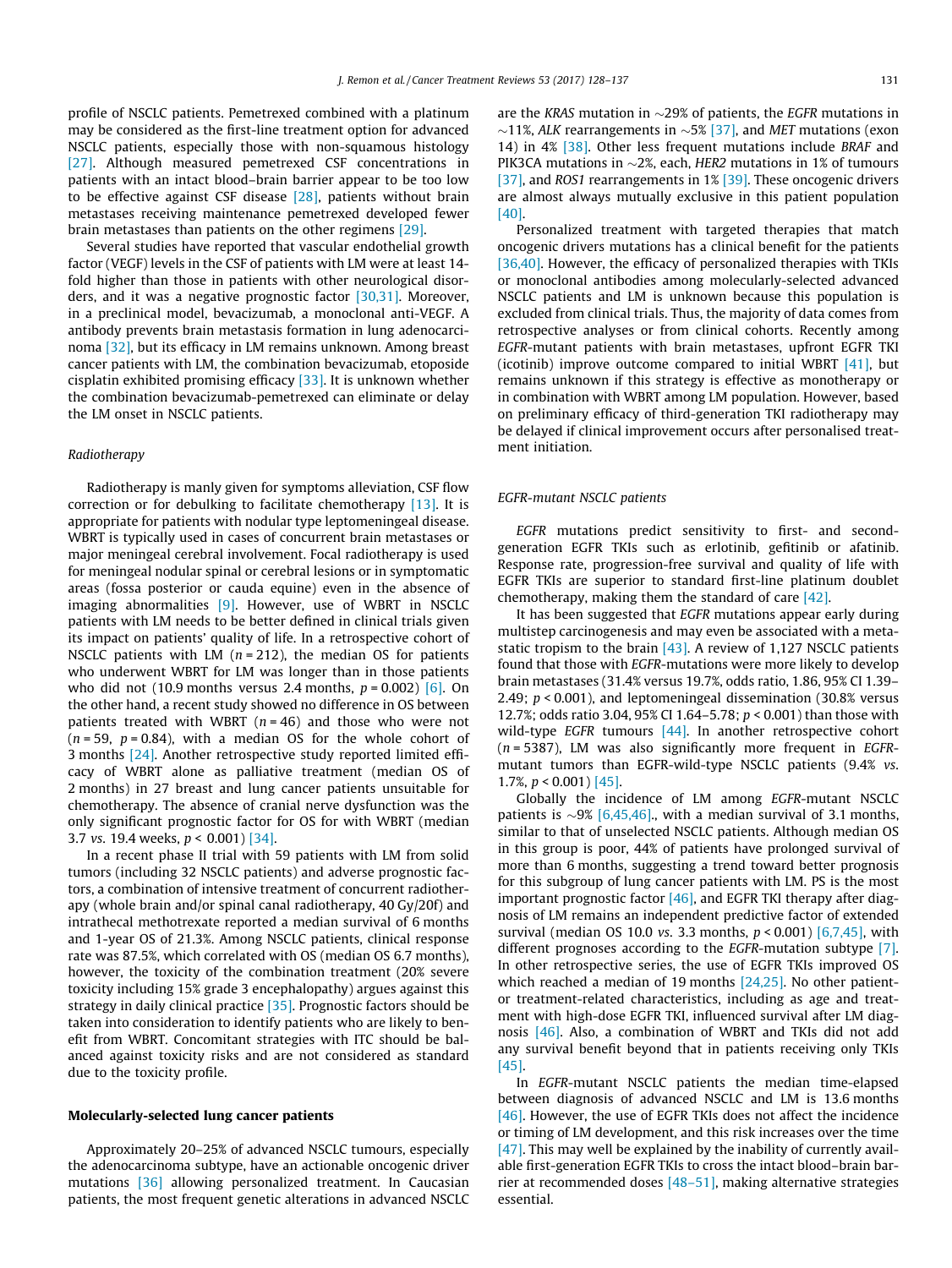profile of NSCLC patients. Pemetrexed combined with a platinum may be considered as the first-line treatment option for advanced NSCLC patients, especially those with non-squamous histology [\[27\].](#page-7-0) Although measured pemetrexed CSF concentrations in patients with an intact blood–brain barrier appear to be too low to be effective against CSF disease [\[28\]](#page-7-0), patients without brain metastases receiving maintenance pemetrexed developed fewer brain metastases than patients on the other regimens [\[29\]](#page-7-0).

Several studies have reported that vascular endothelial growth factor (VEGF) levels in the CSF of patients with LM were at least 14 fold higher than those in patients with other neurological disorders, and it was a negative prognostic factor [\[30,31\].](#page-7-0) Moreover, in a preclinical model, bevacizumab, a monoclonal anti-VEGF. A antibody prevents brain metastasis formation in lung adenocarcinoma [\[32\],](#page-7-0) but its efficacy in LM remains unknown. Among breast cancer patients with LM, the combination bevacizumab, etoposide cisplatin exhibited promising efficacy [\[33\]](#page-7-0). It is unknown whether the combination bevacizumab-pemetrexed can eliminate or delay the LM onset in NSCLC patients.

#### Radiotherapy

Radiotherapy is manly given for symptoms alleviation, CSF flow correction or for debulking to facilitate chemotherapy [\[13\].](#page-6-0) It is appropriate for patients with nodular type leptomeningeal disease. WBRT is typically used in cases of concurrent brain metastases or major meningeal cerebral involvement. Focal radiotherapy is used for meningeal nodular spinal or cerebral lesions or in symptomatic areas (fossa posterior or cauda equine) even in the absence of imaging abnormalities [\[9\]](#page-6-0). However, use of WBRT in NSCLC patients with LM needs to be better defined in clinical trials given its impact on patients' quality of life. In a retrospective cohort of NSCLC patients with LM  $(n = 212)$ , the median OS for patients who underwent WBRT for LM was longer than in those patients who did not (10.9 months versus 2.4 months,  $p = 0.002$ ) [\[6\].](#page-6-0) On the other hand, a recent study showed no difference in OS between patients treated with WBRT ( $n = 46$ ) and those who were not  $(n = 59, p = 0.84)$ , with a median OS for the whole cohort of 3 months [\[24\].](#page-6-0) Another retrospective study reported limited efficacy of WBRT alone as palliative treatment (median OS of 2 months) in 27 breast and lung cancer patients unsuitable for chemotherapy. The absence of cranial nerve dysfunction was the only significant prognostic factor for OS for with WBRT (median 3.7 *vs.* 19.4 weeks,  $p < 0.001$  [\[34\]](#page-7-0).

In a recent phase II trial with 59 patients with LM from solid tumors (including 32 NSCLC patients) and adverse prognostic factors, a combination of intensive treatment of concurrent radiotherapy (whole brain and/or spinal canal radiotherapy, 40 Gy/20f) and intrathecal methotrexate reported a median survival of 6 months and 1-year OS of 21.3%. Among NSCLC patients, clinical response rate was 87.5%, which correlated with OS (median OS 6.7 months), however, the toxicity of the combination treatment (20% severe toxicity including 15% grade 3 encephalopathy) argues against this strategy in daily clinical practice [\[35\].](#page-7-0) Prognostic factors should be taken into consideration to identify patients who are likely to benefit from WBRT. Concomitant strategies with ITC should be balanced against toxicity risks and are not considered as standard due to the toxicity profile.

## Molecularly-selected lung cancer patients

Approximately 20–25% of advanced NSCLC tumours, especially the adenocarcinoma subtype, have an actionable oncogenic driver mutations [\[36\]](#page-7-0) allowing personalized treatment. In Caucasian patients, the most frequent genetic alterations in advanced NSCLC are the KRAS mutation in  $\sim$ 29% of patients, the EGFR mutations in  $\sim$ 11%, ALK rearrangements in  $\sim$ 5% [\[37\]](#page-7-0), and MET mutations (exon 14) in 4% [\[38\].](#page-7-0) Other less frequent mutations include BRAF and PIK3CA mutations in  $\sim$ 2%, each, HER2 mutations in 1% of tumours [\[37\]](#page-7-0), and ROS1 rearrangements in 1% [\[39\].](#page-7-0) These oncogenic drivers are almost always mutually exclusive in this patient population [\[40\].](#page-7-0)

Personalized treatment with targeted therapies that match oncogenic drivers mutations has a clinical benefit for the patients [\[36,40\]](#page-7-0). However, the efficacy of personalized therapies with TKIs or monoclonal antibodies among molecularly-selected advanced NSCLC patients and LM is unknown because this population is excluded from clinical trials. Thus, the majority of data comes from retrospective analyses or from clinical cohorts. Recently among EGFR-mutant patients with brain metastases, upfront EGFR TKI (icotinib) improve outcome compared to initial WBRT  $[41]$ , but remains unknown if this strategy is effective as monotherapy or in combination with WBRT among LM population. However, based on preliminary efficacy of third-generation TKI radiotherapy may be delayed if clinical improvement occurs after personalised treatment initiation.

## EGFR-mutant NSCLC patients

EGFR mutations predict sensitivity to first- and secondgeneration EGFR TKIs such as erlotinib, gefitinib or afatinib. Response rate, progression-free survival and quality of life with EGFR TKIs are superior to standard first-line platinum doublet chemotherapy, making them the standard of care [\[42\]](#page-7-0).

It has been suggested that EGFR mutations appear early during multistep carcinogenesis and may even be associated with a metastatic tropism to the brain  $[43]$ . A review of 1,127 NSCLC patients found that those with EGFR-mutations were more likely to develop brain metastases (31.4% versus 19.7%, odds ratio, 1.86, 95% CI 1.39– 2.49; p < 0.001), and leptomeningeal dissemination (30.8% versus 12.7%; odds ratio 3.04, 95% CI 1.64–5.78; p < 0.001) than those with wild-type *EGFR* tumours [\[44\].](#page-7-0) In another retrospective cohort  $(n = 5387)$ , LM was also significantly more frequent in EGFRmutant tumors than EGFR-wild-type NSCLC patients (9.4% vs. 1.7%,  $p < 0.001$  [\[45\]](#page-7-0).

Globally the incidence of LM among EGFR-mutant NSCLC patients is  $\sim$ 9% [\[6,45,46\].](#page-6-0), with a median survival of 3.1 months, similar to that of unselected NSCLC patients. Although median OS in this group is poor, 44% of patients have prolonged survival of more than 6 months, suggesting a trend toward better prognosis for this subgroup of lung cancer patients with LM. PS is the most important prognostic factor  $[46]$ , and EGFR TKI therapy after diagnosis of LM remains an independent predictive factor of extended survival (median OS 10.0 vs. 3.3 months,  $p < 0.001$ ) [\[6,7,45\]](#page-6-0), with different prognoses according to the EGFR-mutation subtype [\[7\].](#page-6-0) In other retrospective series, the use of EGFR TKIs improved OS which reached a median of 19 months [\[24,25\]](#page-6-0). No other patientor treatment-related characteristics, including as age and treatment with high-dose EGFR TKI, influenced survival after LM diagnosis [\[46\]](#page-7-0). Also, a combination of WBRT and TKIs did not add any survival benefit beyond that in patients receiving only TKIs [\[45\]](#page-7-0).

In EGFR-mutant NSCLC patients the median time-elapsed between diagnosis of advanced NSCLC and LM is 13.6 months [\[46\]](#page-7-0). However, the use of EGFR TKIs does not affect the incidence or timing of LM development, and this risk increases over the time  $[47]$ . This may well be explained by the inability of currently available first-generation EGFR TKIs to cross the intact blood–brain barrier at recommended doses [\[48–51\],](#page-7-0) making alternative strategies essential.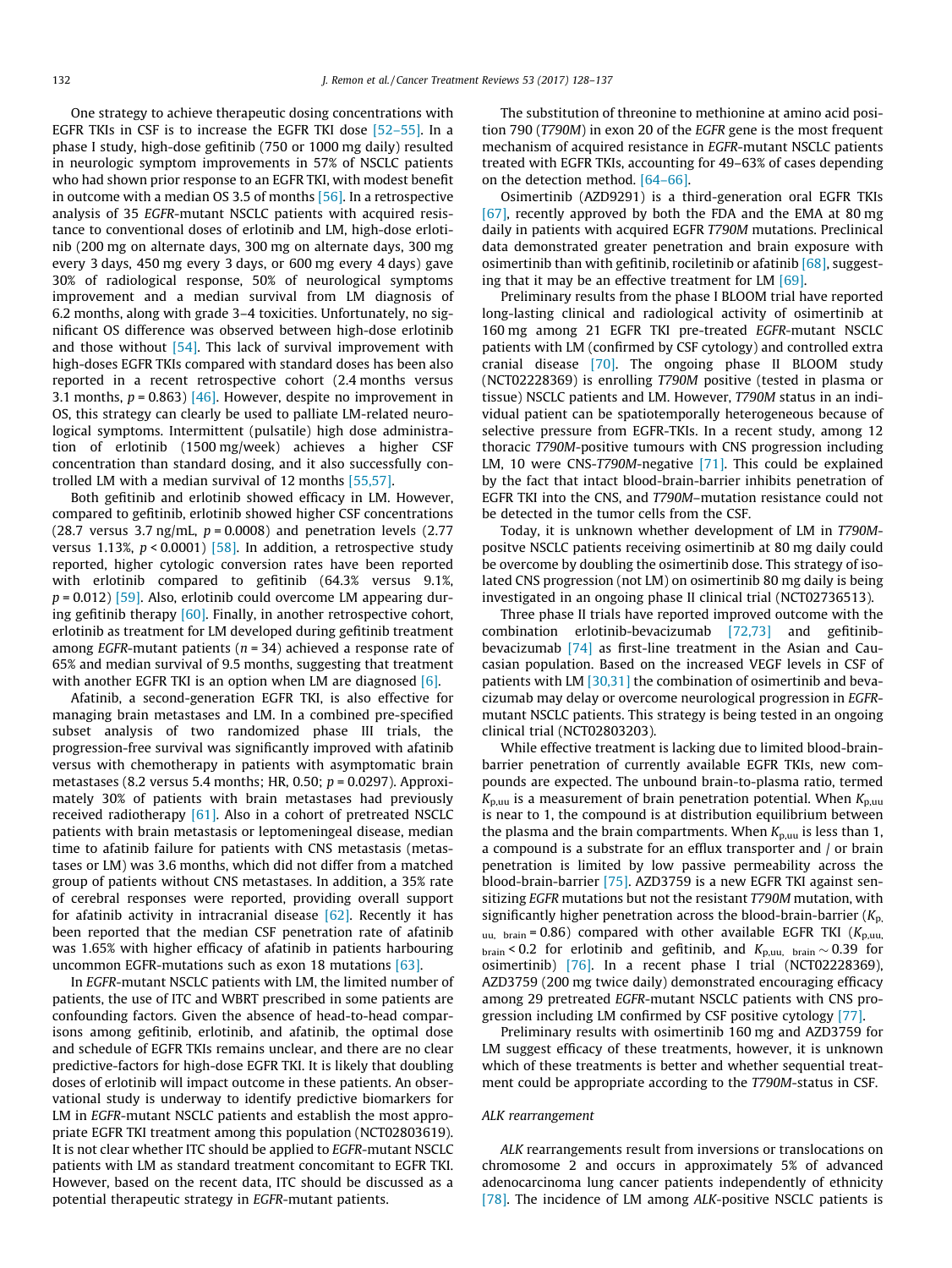One strategy to achieve therapeutic dosing concentrations with EGFR TKIs in CSF is to increase the EGFR TKI dose [\[52–55\]](#page-7-0). In a phase I study, high-dose gefitinib (750 or 1000 mg daily) resulted in neurologic symptom improvements in 57% of NSCLC patients who had shown prior response to an EGFR TKI, with modest benefit in outcome with a median OS 3.5 of months [\[56\].](#page-7-0) In a retrospective analysis of 35 EGFR-mutant NSCLC patients with acquired resistance to conventional doses of erlotinib and LM, high-dose erlotinib (200 mg on alternate days, 300 mg on alternate days, 300 mg every 3 days, 450 mg every 3 days, or 600 mg every 4 days) gave 30% of radiological response, 50% of neurological symptoms improvement and a median survival from LM diagnosis of 6.2 months, along with grade 3–4 toxicities. Unfortunately, no significant OS difference was observed between high-dose erlotinib and those without  $[54]$ . This lack of survival improvement with high-doses EGFR TKIs compared with standard doses has been also reported in a recent retrospective cohort (2.4 months versus 3.1 months,  $p = 0.863$  [\[46\]](#page-7-0). However, despite no improvement in OS, this strategy can clearly be used to palliate LM-related neurological symptoms. Intermittent (pulsatile) high dose administration of erlotinib (1500 mg/week) achieves a higher CSF concentration than standard dosing, and it also successfully controlled LM with a median survival of 12 months [\[55,57\]](#page-7-0).

Both gefitinib and erlotinib showed efficacy in LM. However, compared to gefitinib, erlotinib showed higher CSF concentrations (28.7 versus 3.7 ng/mL,  $p = 0.0008$ ) and penetration levels (2.77 versus 1.13%,  $p < 0.0001$ ) [\[58\]](#page-7-0). In addition, a retrospective study reported, higher cytologic conversion rates have been reported with erlotinib compared to gefitinib (64.3% versus 9.1%,  $p = 0.012$ ) [\[59\].](#page-7-0) Also, erlotinib could overcome LM appearing during gefitinib therapy  $[60]$ . Finally, in another retrospective cohort, erlotinib as treatment for LM developed during gefitinib treatment among EGFR-mutant patients ( $n = 34$ ) achieved a response rate of 65% and median survival of 9.5 months, suggesting that treatment with another EGFR TKI is an option when LM are diagnosed [\[6\]](#page-6-0).

Afatinib, a second-generation EGFR TKI, is also effective for managing brain metastases and LM. In a combined pre-specified subset analysis of two randomized phase III trials, the progression-free survival was significantly improved with afatinib versus with chemotherapy in patients with asymptomatic brain metastases (8.2 versus 5.4 months; HR, 0.50;  $p = 0.0297$ ). Approximately 30% of patients with brain metastases had previously received radiotherapy [\[61\]](#page-7-0). Also in a cohort of pretreated NSCLC patients with brain metastasis or leptomeningeal disease, median time to afatinib failure for patients with CNS metastasis (metastases or LM) was 3.6 months, which did not differ from a matched group of patients without CNS metastases. In addition, a 35% rate of cerebral responses were reported, providing overall support for afatinib activity in intracranial disease  $[62]$ . Recently it has been reported that the median CSF penetration rate of afatinib was 1.65% with higher efficacy of afatinib in patients harbouring uncommon EGFR-mutations such as exon 18 mutations [\[63\].](#page-7-0)

In EGFR-mutant NSCLC patients with LM, the limited number of patients, the use of ITC and WBRT prescribed in some patients are confounding factors. Given the absence of head-to-head comparisons among gefitinib, erlotinib, and afatinib, the optimal dose and schedule of EGFR TKIs remains unclear, and there are no clear predictive-factors for high-dose EGFR TKI. It is likely that doubling doses of erlotinib will impact outcome in these patients. An observational study is underway to identify predictive biomarkers for LM in EGFR-mutant NSCLC patients and establish the most appropriate EGFR TKI treatment among this population (NCT02803619). It is not clear whether ITC should be applied to EGFR-mutant NSCLC patients with LM as standard treatment concomitant to EGFR TKI. However, based on the recent data, ITC should be discussed as a potential therapeutic strategy in EGFR-mutant patients.

The substitution of threonine to methionine at amino acid position 790 (T790M) in exon 20 of the EGFR gene is the most frequent mechanism of acquired resistance in EGFR-mutant NSCLC patients treated with EGFR TKIs, accounting for 49–63% of cases depending on the detection method. [\[64–66\]](#page-7-0).

Osimertinib (AZD9291) is a third-generation oral EGFR TKIs [\[67\]](#page-8-0), recently approved by both the FDA and the EMA at 80 mg daily in patients with acquired EGFR T790M mutations. Preclinical data demonstrated greater penetration and brain exposure with osimertinib than with gefitinib, rociletinib or afatinib [\[68\]](#page-8-0), suggesting that it may be an effective treatment for LM  $[69]$ .

Preliminary results from the phase I BLOOM trial have reported long-lasting clinical and radiological activity of osimertinib at 160 mg among 21 EGFR TKI pre-treated EGFR-mutant NSCLC patients with LM (confirmed by CSF cytology) and controlled extra cranial disease [\[70\]](#page-8-0). The ongoing phase II BLOOM study (NCT02228369) is enrolling T790M positive (tested in plasma or tissue) NSCLC patients and LM. However, T790M status in an individual patient can be spatiotemporally heterogeneous because of selective pressure from EGFR-TKIs. In a recent study, among 12 thoracic T790M-positive tumours with CNS progression including LM, 10 were CNS-T790M-negative [\[71\]](#page-8-0). This could be explained by the fact that intact blood-brain-barrier inhibits penetration of EGFR TKI into the CNS, and T790M–mutation resistance could not be detected in the tumor cells from the CSF.

Today, it is unknown whether development of LM in T790Mpositve NSCLC patients receiving osimertinib at 80 mg daily could be overcome by doubling the osimertinib dose. This strategy of isolated CNS progression (not LM) on osimertinib 80 mg daily is being investigated in an ongoing phase II clinical trial (NCT02736513).

Three phase II trials have reported improved outcome with the combination erlotinib-bevacizumab [\[72,73\]](#page-8-0) and gefitinibbevacizumab  $[74]$  as first-line treatment in the Asian and Caucasian population. Based on the increased VEGF levels in CSF of patients with LM [\[30,31\]](#page-7-0) the combination of osimertinib and bevacizumab may delay or overcome neurological progression in EGFRmutant NSCLC patients. This strategy is being tested in an ongoing clinical trial (NCT02803203).

While effective treatment is lacking due to limited blood-brainbarrier penetration of currently available EGFR TKIs, new compounds are expected. The unbound brain-to-plasma ratio, termed  $K_{p,\mu\nu}$  is a measurement of brain penetration potential. When  $K_{p,\mu\nu}$ is near to 1, the compound is at distribution equilibrium between the plasma and the brain compartments. When  $K_{p,\text{uu}}$  is less than 1, a compound is a substrate for an efflux transporter and / or brain penetration is limited by low passive permeability across the blood-brain-barrier [\[75\]](#page-8-0). AZD3759 is a new EGFR TKI against sensitizing EGFR mutations but not the resistant T790M mutation, with significantly higher penetration across the blood-brain-barrier  $(K_{p})$  $_{\text{uu, brain}}$  = 0.86) compared with other available EGFR TKI ( $K_{\text{p,uu}}$ )  $_{\text{brain}}$  < 0.2 for erlotinib and gefitinib, and  $K_{\text{p,uu, brain}}$   $\sim$  0.39 for osimertinib) [\[76\].](#page-8-0) In a recent phase I trial (NCT02228369), AZD3759 (200 mg twice daily) demonstrated encouraging efficacy among 29 pretreated EGFR-mutant NSCLC patients with CNS progression including LM confirmed by CSF positive cytology [\[77\].](#page-8-0)

Preliminary results with osimertinib 160 mg and AZD3759 for LM suggest efficacy of these treatments, however, it is unknown which of these treatments is better and whether sequential treatment could be appropriate according to the T790M-status in CSF.

## ALK rearrangement

ALK rearrangements result from inversions or translocations on chromosome 2 and occurs in approximately 5% of advanced adenocarcinoma lung cancer patients independently of ethnicity [\[78\]](#page-8-0). The incidence of LM among ALK-positive NSCLC patients is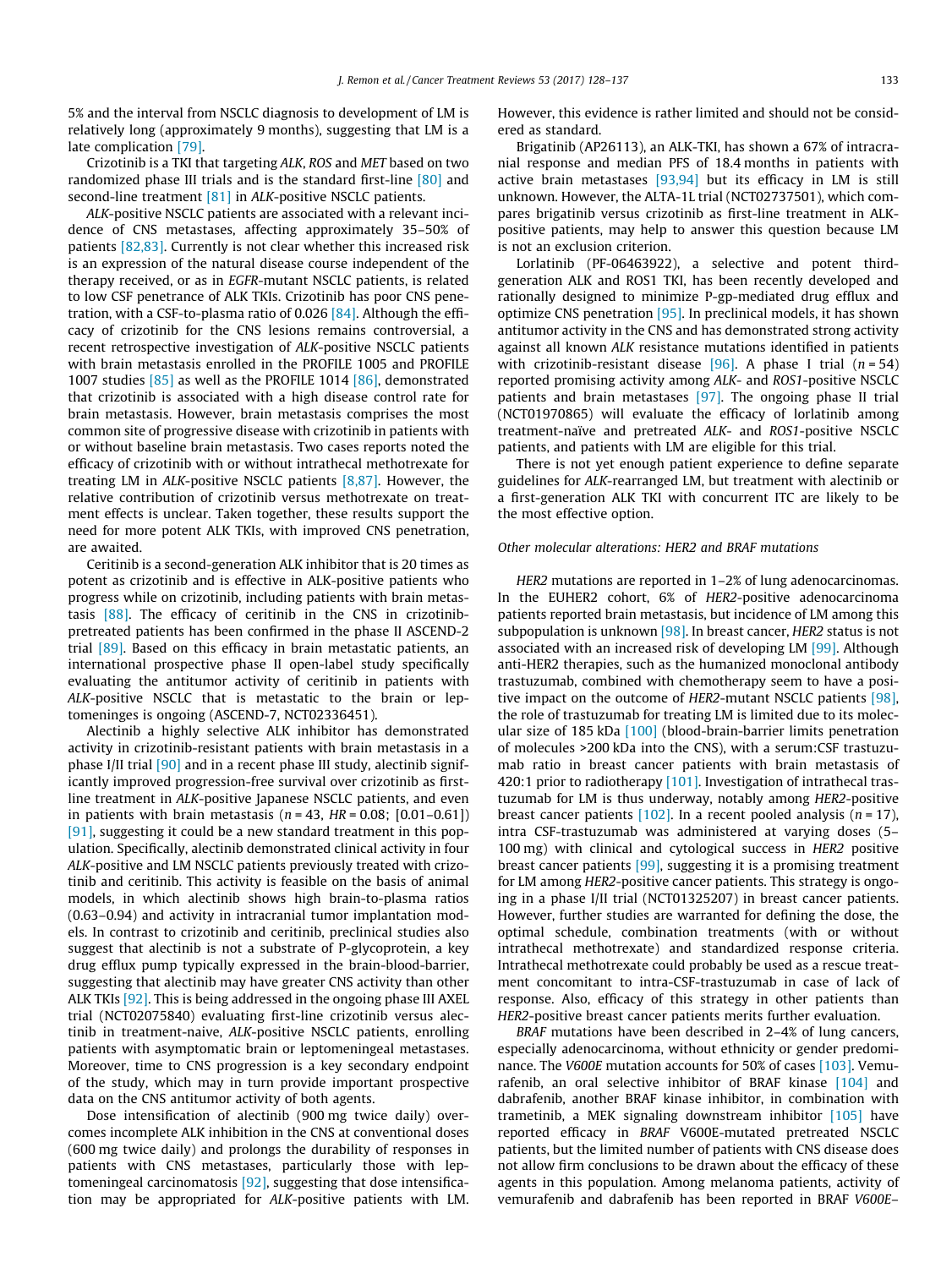5% and the interval from NSCLC diagnosis to development of LM is relatively long (approximately 9 months), suggesting that LM is a late complication [\[79\]](#page-8-0).

Crizotinib is a TKI that targeting ALK, ROS and MET based on two randomized phase III trials and is the standard first-line [\[80\]](#page-8-0) and second-line treatment [\[81\]](#page-8-0) in ALK-positive NSCLC patients.

ALK-positive NSCLC patients are associated with a relevant incidence of CNS metastases, affecting approximately 35–50% of patients [\[82,83\].](#page-8-0) Currently is not clear whether this increased risk is an expression of the natural disease course independent of the therapy received, or as in EGFR-mutant NSCLC patients, is related to low CSF penetrance of ALK TKIs. Crizotinib has poor CNS penetration, with a CSF-to-plasma ratio of 0.026 [\[84\].](#page-8-0) Although the efficacy of crizotinib for the CNS lesions remains controversial, a recent retrospective investigation of ALK-positive NSCLC patients with brain metastasis enrolled in the PROFILE 1005 and PROFILE 1007 studies [\[85\]](#page-8-0) as well as the PROFILE 1014 [\[86\]](#page-8-0), demonstrated that crizotinib is associated with a high disease control rate for brain metastasis. However, brain metastasis comprises the most common site of progressive disease with crizotinib in patients with or without baseline brain metastasis. Two cases reports noted the efficacy of crizotinib with or without intrathecal methotrexate for treating LM in ALK-positive NSCLC patients [\[8,87\]](#page-6-0). However, the relative contribution of crizotinib versus methotrexate on treatment effects is unclear. Taken together, these results support the need for more potent ALK TKIs, with improved CNS penetration, are awaited.

Ceritinib is a second-generation ALK inhibitor that is 20 times as potent as crizotinib and is effective in ALK-positive patients who progress while on crizotinib, including patients with brain metastasis [\[88\]](#page-8-0). The efficacy of ceritinib in the CNS in crizotinibpretreated patients has been confirmed in the phase II ASCEND-2 trial [\[89\]](#page-8-0). Based on this efficacy in brain metastatic patients, an international prospective phase II open-label study specifically evaluating the antitumor activity of ceritinib in patients with ALK-positive NSCLC that is metastatic to the brain or leptomeninges is ongoing (ASCEND-7, NCT02336451).

Alectinib a highly selective ALK inhibitor has demonstrated activity in crizotinib-resistant patients with brain metastasis in a phase I/II trial [\[90\]](#page-8-0) and in a recent phase III study, alectinib significantly improved progression-free survival over crizotinib as firstline treatment in ALK-positive Japanese NSCLC patients, and even in patients with brain metastasis ( $n = 43$ ,  $HR = 0.08$ ; [0.01–0.61]) [\[91\],](#page-8-0) suggesting it could be a new standard treatment in this population. Specifically, alectinib demonstrated clinical activity in four ALK-positive and LM NSCLC patients previously treated with crizotinib and ceritinib. This activity is feasible on the basis of animal models, in which alectinib shows high brain-to-plasma ratios (0.63–0.94) and activity in intracranial tumor implantation models. In contrast to crizotinib and ceritinib, preclinical studies also suggest that alectinib is not a substrate of P-glycoprotein, a key drug efflux pump typically expressed in the brain-blood-barrier, suggesting that alectinib may have greater CNS activity than other ALK TKIs [\[92\].](#page-8-0) This is being addressed in the ongoing phase III AXEL trial (NCT02075840) evaluating first-line crizotinib versus alectinib in treatment-naive, ALK-positive NSCLC patients, enrolling patients with asymptomatic brain or leptomeningeal metastases. Moreover, time to CNS progression is a key secondary endpoint of the study, which may in turn provide important prospective data on the CNS antitumor activity of both agents.

Dose intensification of alectinib (900 mg twice daily) overcomes incomplete ALK inhibition in the CNS at conventional doses (600 mg twice daily) and prolongs the durability of responses in patients with CNS metastases, particularly those with leptomeningeal carcinomatosis [\[92\],](#page-8-0) suggesting that dose intensification may be appropriated for ALK-positive patients with LM. However, this evidence is rather limited and should not be considered as standard.

Brigatinib (AP26113), an ALK-TKI, has shown a 67% of intracranial response and median PFS of 18.4 months in patients with active brain metastases [\[93,94\]](#page-8-0) but its efficacy in LM is still unknown. However, the ALTA-1L trial (NCT02737501), which compares brigatinib versus crizotinib as first-line treatment in ALKpositive patients, may help to answer this question because LM is not an exclusion criterion.

Lorlatinib (PF-06463922), a selective and potent thirdgeneration ALK and ROS1 TKI, has been recently developed and rationally designed to minimize P-gp-mediated drug efflux and optimize CNS penetration [\[95\].](#page-8-0) In preclinical models, it has shown antitumor activity in the CNS and has demonstrated strong activity against all known ALK resistance mutations identified in patients with crizotinib-resistant disease [\[96\].](#page-8-0) A phase I trial  $(n = 54)$ reported promising activity among ALK- and ROS1-positive NSCLC patients and brain metastases [\[97\]](#page-8-0). The ongoing phase II trial (NCT01970865) will evaluate the efficacy of lorlatinib among treatment-naïve and pretreated ALK- and ROS1-positive NSCLC patients, and patients with LM are eligible for this trial.

There is not yet enough patient experience to define separate guidelines for ALK-rearranged LM, but treatment with alectinib or a first-generation ALK TKI with concurrent ITC are likely to be the most effective option.

#### Other molecular alterations: HER2 and BRAF mutations

HER2 mutations are reported in 1–2% of lung adenocarcinomas. In the EUHER2 cohort, 6% of HER2-positive adenocarcinoma patients reported brain metastasis, but incidence of LM among this subpopulation is unknown  $[98]$ . In breast cancer, HER2 status is not associated with an increased risk of developing LM [\[99\]](#page-8-0). Although anti-HER2 therapies, such as the humanized monoclonal antibody trastuzumab, combined with chemotherapy seem to have a positive impact on the outcome of HER2-mutant NSCLC patients [\[98\],](#page-8-0) the role of trastuzumab for treating LM is limited due to its molecular size of 185 kDa [\[100\]](#page-8-0) (blood-brain-barrier limits penetration of molecules >200 kDa into the CNS), with a serum:CSF trastuzumab ratio in breast cancer patients with brain metastasis of 420:1 prior to radiotherapy  $[101]$ . Investigation of intrathecal trastuzumab for LM is thus underway, notably among HER2-positive breast cancer patients [\[102\].](#page-8-0) In a recent pooled analysis ( $n = 17$ ), intra CSF-trastuzumab was administered at varying doses (5– 100 mg) with clinical and cytological success in HER2 positive breast cancer patients [\[99\]](#page-8-0), suggesting it is a promising treatment for LM among HER2-positive cancer patients. This strategy is ongoing in a phase I/II trial (NCT01325207) in breast cancer patients. However, further studies are warranted for defining the dose, the optimal schedule, combination treatments (with or without intrathecal methotrexate) and standardized response criteria. Intrathecal methotrexate could probably be used as a rescue treatment concomitant to intra-CSF-trastuzumab in case of lack of response. Also, efficacy of this strategy in other patients than HER2-positive breast cancer patients merits further evaluation.

BRAF mutations have been described in 2–4% of lung cancers, especially adenocarcinoma, without ethnicity or gender predomi-nance. The V600E mutation accounts for 50% of cases [\[103\].](#page-8-0) Vemurafenib, an oral selective inhibitor of BRAF kinase [\[104\]](#page-8-0) and dabrafenib, another BRAF kinase inhibitor, in combination with trametinib, a MEK signaling downstream inhibitor [\[105\]](#page-8-0) have reported efficacy in BRAF V600E-mutated pretreated NSCLC patients, but the limited number of patients with CNS disease does not allow firm conclusions to be drawn about the efficacy of these agents in this population. Among melanoma patients, activity of vemurafenib and dabrafenib has been reported in BRAF V600E–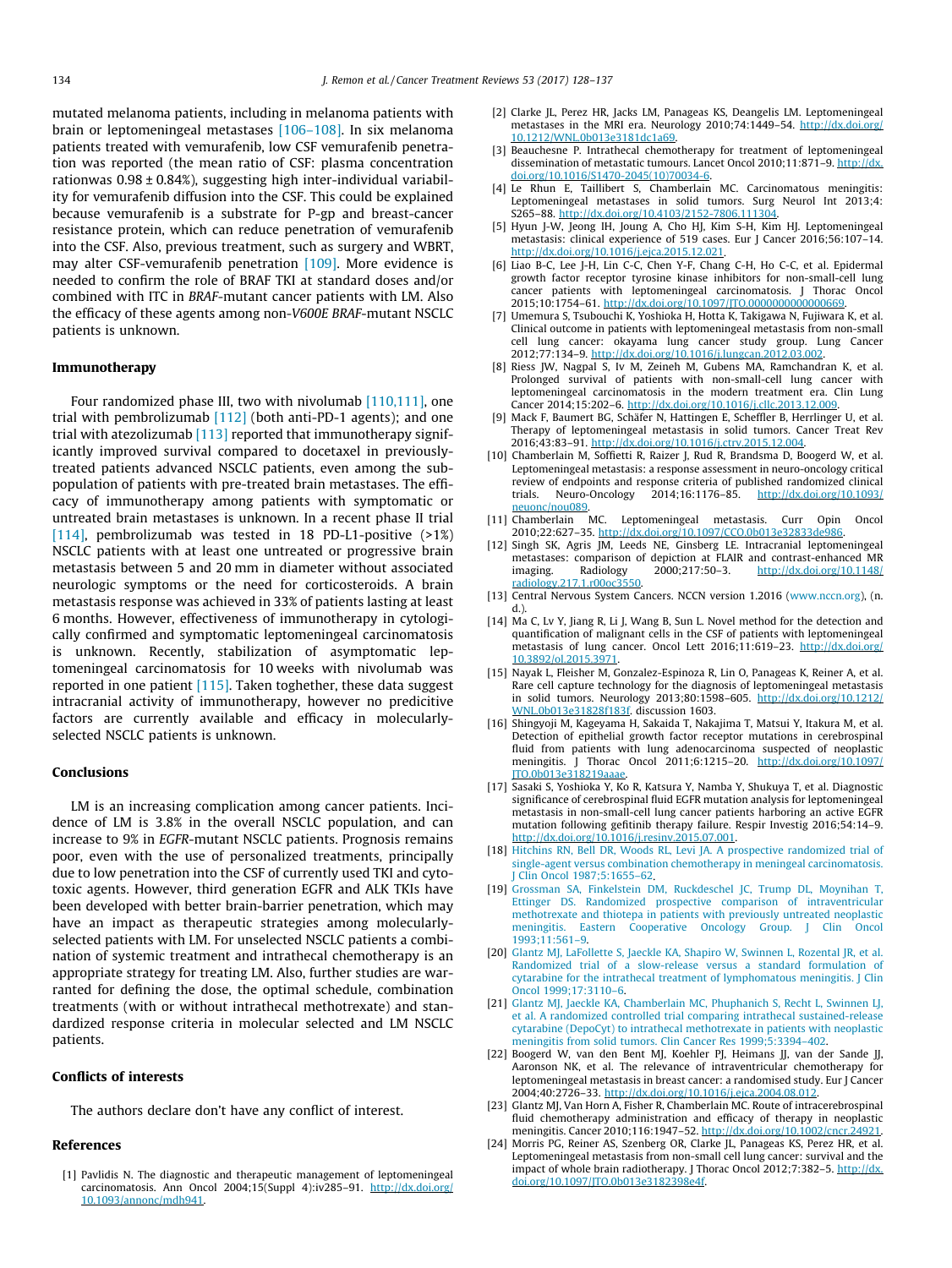<span id="page-6-0"></span>mutated melanoma patients, including in melanoma patients with brain or leptomeningeal metastases [\[106–108\].](#page-8-0) In six melanoma patients treated with vemurafenib, low CSF vemurafenib penetration was reported (the mean ratio of CSF: plasma concentration rationwas  $0.98 \pm 0.84\%$ ), suggesting high inter-individual variability for vemurafenib diffusion into the CSF. This could be explained because vemurafenib is a substrate for P-gp and breast-cancer resistance protein, which can reduce penetration of vemurafenib into the CSF. Also, previous treatment, such as surgery and WBRT, may alter CSF-vemurafenib penetration [\[109\].](#page-9-0) More evidence is needed to confirm the role of BRAF TKI at standard doses and/or combined with ITC in BRAF-mutant cancer patients with LM. Also the efficacy of these agents among non-V600E BRAF-mutant NSCLC patients is unknown.

## Immunotherapy

Four randomized phase III, two with nivolumab [\[110,111\]](#page-9-0), one trial with pembrolizumab [\[112\]](#page-9-0) (both anti-PD-1 agents); and one trial with atezolizumab [\[113\]](#page-9-0) reported that immunotherapy significantly improved survival compared to docetaxel in previouslytreated patients advanced NSCLC patients, even among the subpopulation of patients with pre-treated brain metastases. The efficacy of immunotherapy among patients with symptomatic or untreated brain metastases is unknown. In a recent phase II trial [\[114\],](#page-9-0) pembrolizumab was tested in 18 PD-L1-positive (>1%) NSCLC patients with at least one untreated or progressive brain metastasis between 5 and 20 mm in diameter without associated neurologic symptoms or the need for corticosteroids. A brain metastasis response was achieved in 33% of patients lasting at least 6 months. However, effectiveness of immunotherapy in cytologically confirmed and symptomatic leptomeningeal carcinomatosis is unknown. Recently, stabilization of asymptomatic leptomeningeal carcinomatosis for 10 weeks with nivolumab was reported in one patient [\[115\]](#page-9-0). Taken toghether, these data suggest intracranial activity of immunotherapy, however no predicitive factors are currently available and efficacy in molecularlyselected NSCLC patients is unknown.

## Conclusions

LM is an increasing complication among cancer patients. Incidence of LM is 3.8% in the overall NSCLC population, and can increase to 9% in EGFR-mutant NSCLC patients. Prognosis remains poor, even with the use of personalized treatments, principally due to low penetration into the CSF of currently used TKI and cytotoxic agents. However, third generation EGFR and ALK TKIs have been developed with better brain-barrier penetration, which may have an impact as therapeutic strategies among molecularlyselected patients with LM. For unselected NSCLC patients a combination of systemic treatment and intrathecal chemotherapy is an appropriate strategy for treating LM. Also, further studies are warranted for defining the dose, the optimal schedule, combination treatments (with or without intrathecal methotrexate) and standardized response criteria in molecular selected and LM NSCLC patients.

## Conflicts of interests

The authors declare don't have any conflict of interest.

## References

[1] Pavlidis N. The diagnostic and therapeutic management of leptomeningeal carcinomatosis. Ann Oncol 2004;15(Suppl 4):iv285–91. [http://dx.doi.org/](http://dx.doi.org/10.1093/annonc/mdh941) [10.1093/annonc/mdh941](http://dx.doi.org/10.1093/annonc/mdh941).

- [2] Clarke JL, Perez HR, Jacks LM, Panageas KS, Deangelis LM. Leptomeningeal metastases in the MRI era. Neurology 2010;74:1449-54. http://dx.doi [10.1212/WNL.0b013e3181dc1a69.](http://dx.doi.org/10.1212/WNL.0b013e3181dc1a69)
- [3] Beauchesne P. Intrathecal chemotherapy for treatment of leptomeningeal dissemination of metastatic tumours. Lancet Oncol 2010;11:871–9. [http://dx.](http://dx.doi.org/10.1016/S1470-2045(10)70034-6) [doi.org/10.1016/S1470-2045\(10\)70034-6](http://dx.doi.org/10.1016/S1470-2045(10)70034-6).
- [4] Le Rhun E, Taillibert S, Chamberlain MC. Carcinomatous meningitis: Leptomeningeal metastases in solid tumors. Surg Neurol Int 2013;4: S265–88. <http://dx.doi.org/10.4103/2152-7806.111304>.
- [5] Hyun J-W, Jeong IH, Joung A, Cho HJ, Kim S-H, Kim HJ. Leptomeningeal metastasis: clinical experience of 519 cases. Eur J Cancer 2016;56:107–14. [http://dx.doi.org/10.1016/j.ejca.2015.12.021.](http://dx.doi.org/10.1016/j.ejca.2015.12.021)
- [6] Liao B-C, Lee J-H, Lin C-C, Chen Y-F, Chang C-H, Ho C-C, et al. Epidermal growth factor receptor tyrosine kinase inhibitors for non-small-cell lung cancer patients with leptomeningeal carcinomatosis. J Thorac Oncol 2015;10:1754–61. [http://dx.doi.org/10.1097/JTO.0000000000000669.](http://dx.doi.org/10.1097/JTO.0000000000000669)
- [7] Umemura S, Tsubouchi K, Yoshioka H, Hotta K, Takigawa N, Fujiwara K, et al. Clinical outcome in patients with leptomeningeal metastasis from non-small cell lung cancer: okayama lung cancer study group. Lung Cancer 2012;77:134–9. <http://dx.doi.org/10.1016/j.lungcan.2012.03.002>.
- [8] Riess JW, Nagpal S, Iv M, Zeineh M, Gubens MA, Ramchandran K, et al. Prolonged survival of patients with non-small-cell lung cancer with leptomeningeal carcinomatosis in the modern treatment era. Clin Lung Cancer 2014;15:202–6. <http://dx.doi.org/10.1016/j.cllc.2013.12.009>.
- [9] Mack F, Baumert BG, Schäfer N, Hattingen E, Scheffler B, Herrlinger U, et al. Therapy of leptomeningeal metastasis in solid tumors. Cancer Treat Rev 2016;43:83–91. <http://dx.doi.org/10.1016/j.ctrv.2015.12.004>.
- [10] Chamberlain M, Soffietti R, Raizer J, Rud R, Brandsma D, Boogerd W, et al. Leptomeningeal metastasis: a response assessment in neuro-oncology critical review of endpoints and response criteria of published randomized clinical trials. Neuro-Oncology 2014;16:1176–85. [http://dx.doi.org/10.1093/](http://dx.doi.org/10.1093/neuonc/nou089) [neuonc/nou089.](http://dx.doi.org/10.1093/neuonc/nou089)
- [11] Chamberlain MC. Leptomeningeal metastasis. Curr Opin Oncol 2010;22:627–35. http://dx.doi.org/10.1097/CCO.0b013e32833de
- [12] Singh SK, Agris JM, Leeds NE, Ginsberg LE. Intracranial leptomeningeal metastases: comparison of depiction at FLAIR and contrast-enhanced MR<br>imaging. Radiology 2000;217:50-3. http://dx.doi.org/10.1148/ imaging. Radiology 2000;217:50–3. [http://dx.doi.org/10.1148/](http://dx.doi.org/10.1148/radiology.217.1.r00oc3550) [radiology.217.1.r00oc3550](http://dx.doi.org/10.1148/radiology.217.1.r00oc3550).
- [13] Central Nervous System Cancers. NCCN version 1.2016 [\(www.nccn.org](http://www.nccn.org)), (n. d.).
- [14] Ma C, Lv Y, Jiang R, Li J, Wang B, Sun L. Novel method for the detection and quantification of malignant cells in the CSF of patients with leptomeningeal metastasis of lung cancer. Oncol Lett 2016;11:619–23. [http://dx.doi.org/](http://dx.doi.org/10.3892/ol.2015.3971) [10.3892/ol.2015.3971](http://dx.doi.org/10.3892/ol.2015.3971).
- [15] Nayak L, Fleisher M, Gonzalez-Espinoza R, Lin O, Panageas K, Reiner A, et al. Rare cell capture technology for the diagnosis of leptomeningeal metastasis in solid tumors. Neurology 2013;80:1598–605. [http://dx.doi.org/10.1212/](http://dx.doi.org/10.1212/WNL.0b013e31828f183f) [WNL.0b013e31828f183f](http://dx.doi.org/10.1212/WNL.0b013e31828f183f). discussion 1603.
- [16] Shingyoji M, Kageyama H, Sakaida T, Nakajima T, Matsui Y, Itakura M, et al. Detection of epithelial growth factor receptor mutations in cerebrospinal fluid from patients with lung adenocarcinoma suspected of neoplastic meningitis. J Thorac Oncol 2011;6:1215–20. [http://dx.doi.org/10.1097/](http://dx.doi.org/10.1097/JTO.0b013e318219aaae) [JTO.0b013e318219aaae](http://dx.doi.org/10.1097/JTO.0b013e318219aaae).
- [17] Sasaki S, Yoshioka Y, Ko R, Katsura Y, Namba Y, Shukuya T, et al. Diagnostic significance of cerebrospinal fluid EGFR mutation analysis for leptomeningeal metastasis in non-small-cell lung cancer patients harboring an active EGFR mutation following gefitinib therapy failure. Respir Investig 2016;54:14–9. <http://dx.doi.org/10.1016/j.resinv.2015.07.001>.
- [18] [Hitchins RN, Bell DR, Woods RL, Levi JA. A prospective randomized trial of](http://refhub.elsevier.com/S0305-7372(16)30154-2/h0090) [single-agent versus combination chemotherapy in meningeal carcinomatosis.](http://refhub.elsevier.com/S0305-7372(16)30154-2/h0090) [J Clin Oncol 1987;5:1655–62.](http://refhub.elsevier.com/S0305-7372(16)30154-2/h0090)
- [19] [Grossman SA, Finkelstein DM, Ruckdeschel JC, Trump DL, Moynihan T,](http://refhub.elsevier.com/S0305-7372(16)30154-2/h0095) [Ettinger DS. Randomized prospective comparison of intraventricular](http://refhub.elsevier.com/S0305-7372(16)30154-2/h0095) [methotrexate and thiotepa in patients with previously untreated neoplastic](http://refhub.elsevier.com/S0305-7372(16)30154-2/h0095) [meningitis. Eastern Cooperative Oncology Group. J Clin Oncol](http://refhub.elsevier.com/S0305-7372(16)30154-2/h0095) [1993;11:561–9](http://refhub.elsevier.com/S0305-7372(16)30154-2/h0095).
- [20] [Glantz MJ, LaFollette S, Jaeckle KA, Shapiro W, Swinnen L, Rozental JR, et al.](http://refhub.elsevier.com/S0305-7372(16)30154-2/h0100) [Randomized trial of a slow-release versus a standard formulation of](http://refhub.elsevier.com/S0305-7372(16)30154-2/h0100) [cytarabine for the intrathecal treatment of lymphomatous meningitis. J Clin](http://refhub.elsevier.com/S0305-7372(16)30154-2/h0100) [Oncol 1999;17:3110–6](http://refhub.elsevier.com/S0305-7372(16)30154-2/h0100).
- [21] [Glantz MJ, Jaeckle KA, Chamberlain MC, Phuphanich S, Recht L, Swinnen LJ,](http://refhub.elsevier.com/S0305-7372(16)30154-2/h0105) [et al. A randomized controlled trial comparing intrathecal sustained-release](http://refhub.elsevier.com/S0305-7372(16)30154-2/h0105) [cytarabine \(DepoCyt\) to intrathecal methotrexate in patients with neoplastic](http://refhub.elsevier.com/S0305-7372(16)30154-2/h0105) [meningitis from solid tumors. Clin Cancer Res 1999;5:3394–402.](http://refhub.elsevier.com/S0305-7372(16)30154-2/h0105)
- [22] Boogerd W, van den Bent MJ, Koehler PJ, Heimans JJ, van der Sande JJ, Aaronson NK, et al. The relevance of intraventricular chemotherapy for leptomeningeal metastasis in breast cancer: a randomised study. Eur J Cancer 2004;40:2726–33. <http://dx.doi.org/10.1016/j.ejca.2004.08.012>.
- [23] Glantz MJ, Van Horn A, Fisher R, Chamberlain MC. Route of intracerebrospinal fluid chemotherapy administration and efficacy of therapy in neoplastic meningitis. Cancer 2010;116:1947-52. http://dx.doi.org/10.1002/cncr
- [24] Morris PG, Reiner AS, Szenberg OR, Clarke JL, Panageas KS, Perez HR, et al. Leptomeningeal metastasis from non-small cell lung cancer: survival and the impact of whole brain radiotherapy. J Thorac Oncol 2012;7:382-5. [http://dx.](http://dx.doi.org/10.1097/JTO.0b013e3182398e4f) [doi.org/10.1097/JTO.0b013e3182398e4f.](http://dx.doi.org/10.1097/JTO.0b013e3182398e4f)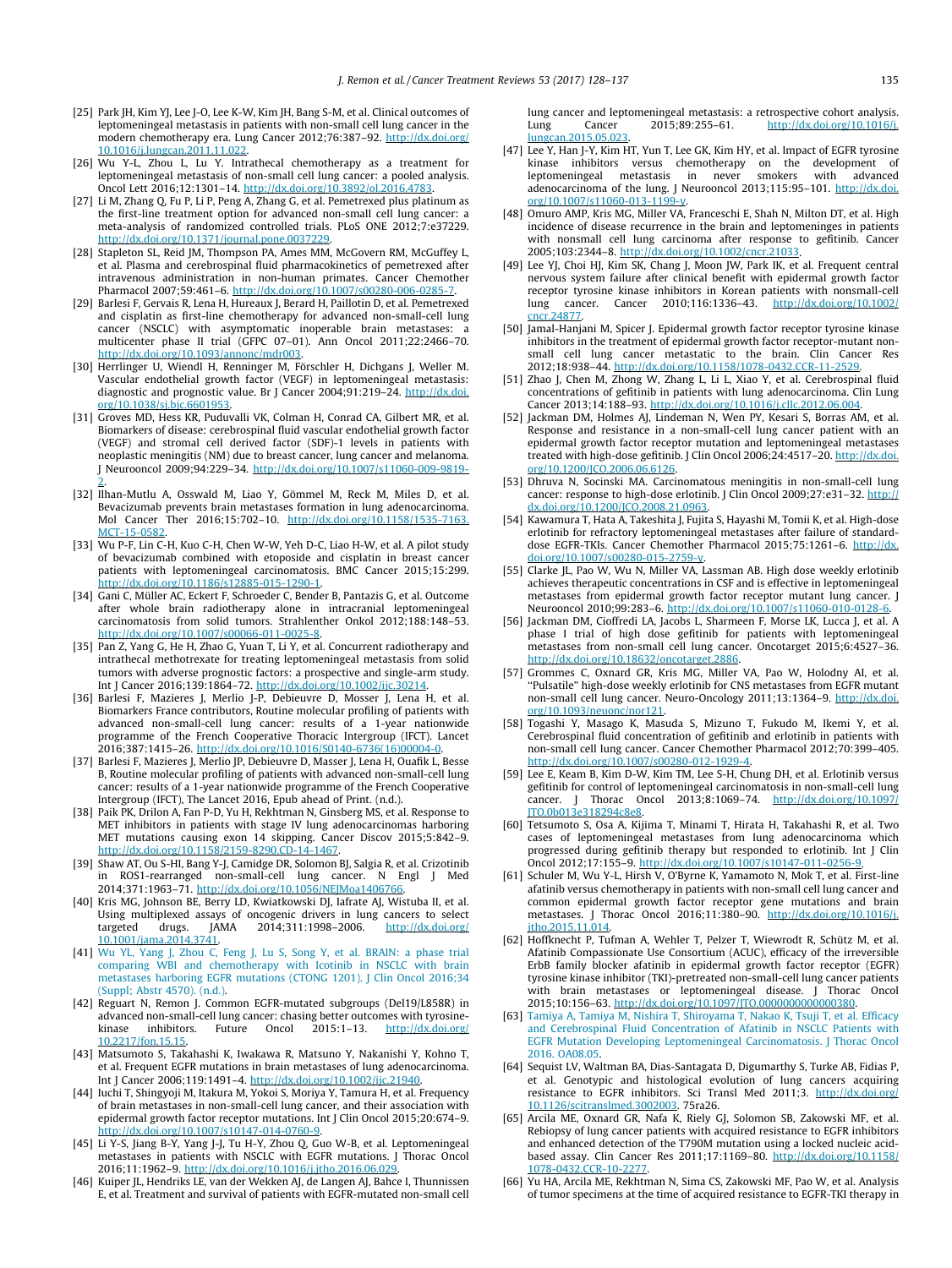- <span id="page-7-0"></span>[25] Park JH, Kim YJ, Lee J-O, Lee K-W, Kim JH, Bang S-M, et al. Clinical outcomes of leptomeningeal metastasis in patients with non-small cell lung cancer in the modern chemotherapy era. Lung Cancer 2012;76:387–92. [http://dx.doi.org/](http://dx.doi.org/10.1016/j.lungcan.2011.11.022) [10.1016/j.lungcan.2011.11.022](http://dx.doi.org/10.1016/j.lungcan.2011.11.022).
- [26] Wu Y-L, Zhou L, Lu Y. Intrathecal chemotherapy as a treatment for leptomeningeal metastasis of non-small cell lung cancer: a pooled analysis. Oncol Lett 2016;12:1301–14. <http://dx.doi.org/10.3892/ol.2016.4783>.
- [27] Li M, Zhang Q, Fu P, Li P, Peng A, Zhang G, et al. Pemetrexed plus platinum as the first-line treatment option for advanced non-small cell lung cancer: a meta-analysis of randomized controlled trials. PLoS ONE 2012;7:e37229. <http://dx.doi.org/10.1371/journal.pone.0037229>.
- [28] Stapleton SL, Reid JM, Thompson PA, Ames MM, McGovern RM, McGuffey L, et al. Plasma and cerebrospinal fluid pharmacokinetics of pemetrexed after intravenous administration in non-human primates. Cancer Chemother Pharmacol 2007;59:461-6. <http://dx.doi.org/10.1007/s00280-006-0285-7>.
- [29] Barlesi F, Gervais R, Lena H, Hureaux J, Berard H, Paillotin D, et al. Pemetrexed and cisplatin as first-line chemotherapy for advanced non-small-cell lung cancer (NSCLC) with asymptomatic inoperable brain metastases: a multicenter phase II trial (GFPC 07–01). Ann Oncol 2011;22:2466–70. <http://dx.doi.org/10.1093/annonc/mdr003>.
- [30] Herrlinger U, Wiendl H, Renninger M, Förschler H, Dichgans J, Weller M. Vascular endothelial growth factor (VEGF) in leptomeningeal metastasis: diagnostic and prognostic value. Br J Cancer 2004;91:219-24. [http://dx.doi.](http://dx.doi.org/10.1038/sj.bjc.6601953) [org/10.1038/sj.bjc.6601953.](http://dx.doi.org/10.1038/sj.bjc.6601953)
- [31] Groves MD, Hess KR, Puduvalli VK, Colman H, Conrad CA, Gilbert MR, et al. Biomarkers of disease: cerebrospinal fluid vascular endothelial growth factor (VEGF) and stromal cell derived factor (SDF)-1 levels in patients with neoplastic meningitis (NM) due to breast cancer, lung cancer and melanoma. J Neurooncol 2009;94:229–34. [http://dx.doi.org/10.1007/s11060-009-9819-](http://dx.doi.org/10.1007/s11060-009-9819-2) [2](http://dx.doi.org/10.1007/s11060-009-9819-2).
- [32] Ilhan-Mutlu A, Osswald M, Liao Y, Gömmel M, Reck M, Miles D, et al. Bevacizumab prevents brain metastases formation in lung adenocarcinoma. Mol Cancer Ther 2016;15:702–10. [http://dx.doi.org/10.1158/1535-7163.](http://dx.doi.org/10.1158/1535-7163.MCT-15-0582) [MCT-15-0582](http://dx.doi.org/10.1158/1535-7163.MCT-15-0582).
- [33] Wu P-F, Lin C-H, Kuo C-H, Chen W-W, Yeh D-C, Liao H-W, et al. A pilot study of bevacizumab combined with etoposide and cisplatin in breast cancer patients with leptomeningeal carcinomatosis. BMC Cancer 2015;15:299. [http://dx.doi.org/10.1186/s12885-015-1290-1.](http://dx.doi.org/10.1186/s12885-015-1290-1)
- [34] Gani C, Müller AC, Eckert F, Schroeder C, Bender B, Pantazis G, et al. Outcome after whole brain radiotherapy alone in intracranial leptomeningeal carcinomatosis from solid tumors. Strahlenther Onkol 2012;188:148–53. <http://dx.doi.org/10.1007/s00066-011-0025-8>.
- [35] Pan Z, Yang G, He H, Zhao G, Yuan T, Li Y, et al. Concurrent radiotherapy and intrathecal methotrexate for treating leptomeningeal metastasis from solid tumors with adverse prognostic factors: a prospective and single-arm study. Int J Cancer 2016;139:1864–72. [http://dx.doi.org/10.1002/ijc.30214.](http://dx.doi.org/10.1002/ijc.30214)
- [36] Barlesi F, Mazieres J, Merlio J-P, Debieuvre D, Mosser J, Lena H, et al. Biomarkers France contributors, Routine molecular profiling of patients with advanced non-small-cell lung cancer: results of a 1-year nationwide programme of the French Cooperative Thoracic Intergroup (IFCT). Lancet 2016;387:1415–26. [http://dx.doi.org/10.1016/S0140-6736\(16\)00004-0.](http://dx.doi.org/10.1016/S0140-6736(16)00004-0)
- [37] Barlesi F, Mazieres J, Merlio JP, Debieuvre D, Masser J, Lena H, Ouafik L, Besse B, Routine molecular profiling of patients with advanced non-small-cell lung cancer: results of a 1-year nationwide programme of the French Cooperative Intergroup (IFCT), The Lancet 2016, Epub ahead of Print. (n.d.).
- [38] Paik PK, Drilon A, Fan P-D, Yu H, Rekhtman N, Ginsberg MS, et al. Response to MET inhibitors in patients with stage IV lung adenocarcinomas harboring MET mutations causing exon 14 skipping. Cancer Discov 2015;5:842–9. [http://dx.doi.org/10.1158/2159-8290.CD-14-1467.](http://dx.doi.org/10.1158/2159-8290.CD-14-1467)
- [39] Shaw AT, Ou S-HI, Bang Y-J, Camidge DR, Solomon BJ, Salgia R, et al. Crizotinib in ROS1-rearranged non-small-cell lung cancer. N Engl J Med 2014;371:1963–71. <http://dx.doi.org/10.1056/NEJMoa1406766>.
- [40] Kris MG, Johnson BE, Berry LD, Kwiatkowski DJ, Iafrate AJ, Wistuba II, et al. Using multiplexed assays of oncogenic drivers in lung cancers to select targeted drugs. JAMA 2014;311:1998-2006. [http://dx.doi.org/](http://dx.doi.org/10.1001/jama.2014.3741) [10.1001/jama.2014.3741](http://dx.doi.org/10.1001/jama.2014.3741).
- [41] [Wu YL, Yang J, Zhou C, Feng J, Lu S, Song Y, et al. BRAIN: a phase trial](http://refhub.elsevier.com/S0305-7372(16)30154-2/h0205) [comparing WBI and chemotherapy with Icotinib in NSCLC with brain](http://refhub.elsevier.com/S0305-7372(16)30154-2/h0205) [metastases harboring EGFR mutations \(CTONG 1201\). J Clin Oncol 2016;34](http://refhub.elsevier.com/S0305-7372(16)30154-2/h0205) [\(Suppl; Abstr 4570\). \(n.d.\).](http://refhub.elsevier.com/S0305-7372(16)30154-2/h0205)
- [42] Reguart N, Remon J. Common EGFR-mutated subgroups (Del19/L858R) in advanced non-small-cell lung cancer: chasing better outcomes with tyrosinekinase inhibitors. Future Oncol 2015:1-13. [http://dx.doi.org/](http://dx.doi.org/10.2217/fon.15.15) [10.2217/fon.15.15](http://dx.doi.org/10.2217/fon.15.15).
- [43] Matsumoto S, Takahashi K, Iwakawa R, Matsuno Y, Nakanishi Y, Kohno T, et al. Frequent EGFR mutations in brain metastases of lung adenocarcinoma. Int J Cancer 2006;119:1491–4. [http://dx.doi.org/10.1002/ijc.21940.](http://dx.doi.org/10.1002/ijc.21940)
- [44] Iuchi T, Shingyoji M, Itakura M, Yokoi S, Moriya Y, Tamura H, et al. Frequency of brain metastases in non-small-cell lung cancer, and their association with epidermal growth factor receptor mutations. Int J Clin Oncol 2015;20:674–9. ttp://dx.doi.org/10.1007/s10147-014-0760-9.
- [45] Li Y-S, Jiang B-Y, Yang J-J, Tu H-Y, Zhou Q, Guo W-B, et al. Leptomeningeal metastases in patients with NSCLC with EGFR mutations. J Thorac Oncol 2016;11:1962–9. [http://dx.doi.org/10.1016/j.jtho.2016.06.029.](http://dx.doi.org/10.1016/j.jtho.2016.06.029)
- [46] Kuiper JL, Hendriks LE, van der Wekken AJ, de Langen AJ, Bahce I, Thunnissen E, et al. Treatment and survival of patients with EGFR-mutated non-small cell

lung cancer and leptomeningeal metastasis: a retrospective cohort analysis.<br>
Lung Cancer 2015;89:255-61. http://dx.doi.org/10.1016/j. Lung Cancer 2015;89:255–61. [http://dx.doi.org/10.1016/j.](http://dx.doi.org/10.1016/j.lungcan.2015.05.023) [lungcan.2015.05.023](http://dx.doi.org/10.1016/j.lungcan.2015.05.023).

- [47] Lee Y, Han J-Y, Kim HT, Yun T, Lee GK, Kim HY, et al. Impact of EGFR tyrosine kinase inhibitors versus chemotherapy on the development of leptomeningeal metastasis in never smokers with advanced adenocarcinoma of the lung. J Neurooncol 2013;115:95-101. [http://dx.doi.](http://dx.doi.org/10.1007/s11060-013-1199-y) [org/10.1007/s11060-013-1199-y](http://dx.doi.org/10.1007/s11060-013-1199-y).
- [48] Omuro AMP, Kris MG, Miller VA, Franceschi E, Shah N, Milton DT, et al. High incidence of disease recurrence in the brain and leptomeninges in patients with nonsmall cell lung carcinoma after response to gefitinib. Cancer 2005;103:2344–8. <http://dx.doi.org/10.1002/cncr.21033>.
- [49] Lee YJ, Choi HJ, Kim SK, Chang J, Moon JW, Park IK, et al. Frequent central nervous system failure after clinical benefit with epidermal growth factor receptor tyrosine kinase inhibitors in Korean patients with nonsmall-cell lung cancer. Cancer 2010;116:1336–43. [http://dx.doi.org/10.1002/](http://dx.doi.org/10.1002/cncr.24877) [cncr.24877.](http://dx.doi.org/10.1002/cncr.24877)
- [50] Jamal-Hanjani M, Spicer J. Epidermal growth factor receptor tyrosine kinase inhibitors in the treatment of epidermal growth factor receptor-mutant nonsmall cell lung cancer metastatic to the brain. Clin Cancer Res 2012;18:938–44. [http://dx.doi.org/10.1158/1078-0432.CCR-11-2529.](http://dx.doi.org/10.1158/1078-0432.CCR-11-2529)
- [51] Zhao J, Chen M, Zhong W, Zhang L, Li L, Xiao Y, et al. Cerebrospinal fluid concentrations of gefitinib in patients with lung adenocarcinoma. Clin Lung Cancer 2013;14:188–93. <http://dx.doi.org/10.1016/j.cllc.2012.06.004>.
- [52] Jackman DM, Holmes AJ, Lindeman N, Wen PY, Kesari S, Borras AM, et al. Response and resistance in a non-small-cell lung cancer patient with an epidermal growth factor receptor mutation and leptomeningeal metastases treated with high-dose gefitinib. J Clin Oncol 2006;24:4517–20. [http://dx.doi.](http://dx.doi.org/10.1200/JCO.2006.06.6126) [org/10.1200/JCO.2006.06.6126](http://dx.doi.org/10.1200/JCO.2006.06.6126).
- [53] Dhruva N, Socinski MA. Carcinomatous meningitis in non-small-cell lung cancer: response to high-dose erlotinib. J Clin Oncol 2009;27:e31-32. [http://](http://dx.doi.org/10.1200/JCO.2008.21.0963) [dx.doi.org/10.1200/JCO.2008.21.0963.](http://dx.doi.org/10.1200/JCO.2008.21.0963)
- [54] Kawamura T, Hata A, Takeshita J, Fujita S, Hayashi M, Tomii K, et al. High-dose erlotinib for refractory leptomeningeal metastases after failure of standarddose EGFR-TKIs. Cancer Chemother Pharmacol 2015;75:1261–6. [http://dx.](http://dx.doi.org/10.1007/s00280-015-2759-y) [doi.org/10.1007/s00280-015-2759-y](http://dx.doi.org/10.1007/s00280-015-2759-y).
- [55] Clarke JL, Pao W, Wu N, Miller VA, Lassman AB. High dose weekly erlotinib achieves therapeutic concentrations in CSF and is effective in leptomeningeal metastases from epidermal growth factor receptor mutant lung cancer. J Neurooncol 2010;99:283-6. <http://dx.doi.org/10.1007/s11060-010-0128-6>.
- [56] Jackman DM, Cioffredi LA, Jacobs L, Sharmeen F, Morse LK, Lucca J, et al. A phase I trial of high dose gefitinib for patients with leptomeningeal metastases from non-small cell lung cancer. Oncotarget 2015;6:4527–36. <http://dx.doi.org/10.18632/oncotarget.2886>.
- [57] Grommes C, Oxnard GR, Kris MG, Miller VA, Pao W, Holodny AI, et al. 'Pulsatile" high-dose weekly erlotinib for CNS metastases from EGFR mutant non-small cell lung cancer. Neuro-Oncology 2011;13:1364–9. [http://dx.doi.](http://dx.doi.org/10.1093/neuonc/nor121) [org/10.1093/neuonc/nor121](http://dx.doi.org/10.1093/neuonc/nor121).
- [58] Togashi Y, Masago K, Masuda S, Mizuno T, Fukudo M, Ikemi Y, et al. Cerebrospinal fluid concentration of gefitinib and erlotinib in patients with non-small cell lung cancer. Cancer Chemother Pharmacol 2012;70:399–405. <http://dx.doi.org/10.1007/s00280-012-1929-4>.
- [59] Lee E, Keam B, Kim D-W, Kim TM, Lee S-H, Chung DH, et al. Erlotinib versus gefitinib for control of leptomeningeal carcinomatosis in non-small-cell lung cancer. J Thorac Oncol 2013;8:1069–74. [http://dx.doi.org/10.1097/](http://dx.doi.org/10.1097/JTO.0b013e318294c8e8) ITO.0b013e318294c8e
- [60] Tetsumoto S, Osa A, Kijima T, Minami T, Hirata H, Takahashi R, et al. Two cases of leptomeningeal metastases from lung adenocarcinoma which progressed during gefitinib therapy but responded to erlotinib. Int J Clin Oncol 2012;17:155–9. <http://dx.doi.org/10.1007/s10147-011-0256-9>.
- [61] Schuler M, Wu Y-L, Hirsh V, O'Byrne K, Yamamoto N, Mok T, et al. First-line afatinib versus chemotherapy in patients with non-small cell lung cancer and common epidermal growth factor receptor gene mutations and brain metastases. J Thorac Oncol 2016;11:380-90. [http://dx.doi.org/10.1016/j.](http://dx.doi.org/10.1016/j.jtho.2015.11.014) [jtho.2015.11.014](http://dx.doi.org/10.1016/j.jtho.2015.11.014).
- [62] Hoffknecht P, Tufman A, Wehler T, Pelzer T, Wiewrodt R, Schütz M, et al. Afatinib Compassionate Use Consortium (ACUC), efficacy of the irreversible ErbB family blocker afatinib in epidermal growth factor receptor (EGFR) tyrosine kinase inhibitor (TKI)-pretreated non-small-cell lung cancer patients with brain metastases or leptomeningeal disease. J Thorac Oncol 2015;10:156–63. <http://dx.doi.org/10.1097/JTO.0000000000000380>.
- [63] [Tamiya A, Tamiya M, Nishira T, Shiroyama T, Nakao K, Tsuji T, et al. Efficacy](http://refhub.elsevier.com/S0305-7372(16)30154-2/h0315) [and Cerebrospinal Fluid Concentration of Afatinib in NSCLC Patients with](http://refhub.elsevier.com/S0305-7372(16)30154-2/h0315) [EGFR Mutation Developing Leptomeningeal Carcinomatosis. J Thorac Oncol](http://refhub.elsevier.com/S0305-7372(16)30154-2/h0315) [2016. OA08.05.](http://refhub.elsevier.com/S0305-7372(16)30154-2/h0315)
- [64] Sequist LV, Waltman BA, Dias-Santagata D, Digumarthy S, Turke AB, Fidias P, et al. Genotypic and histological evolution of lung cancers acquiring resistance to EGFR inhibitors. Sci Transl Med 2011;3. [http://dx.doi.org/](http://dx.doi.org/10.1126/scitranslmed.3002003) [10.1126/scitranslmed.3002003.](http://dx.doi.org/10.1126/scitranslmed.3002003) 75ra26.
- [65] Arcila ME, Oxnard GR, Nafa K, Riely GJ, Solomon SB, Zakowski MF, et al. Rebiopsy of lung cancer patients with acquired resistance to EGFR inhibitors and enhanced detection of the T790M mutation using a locked nucleic acidbased assay. Clin Cancer Res 2011;17:1169–80. [http://dx.doi.org/10.1158/](http://dx.doi.org/10.1158/1078-0432.CCR-10-2277) [1078-0432.CCR-10-2277](http://dx.doi.org/10.1158/1078-0432.CCR-10-2277).
- [66] Yu HA, Arcila ME, Rekhtman N, Sima CS, Zakowski MF, Pao W, et al. Analysis of tumor specimens at the time of acquired resistance to EGFR-TKI therapy in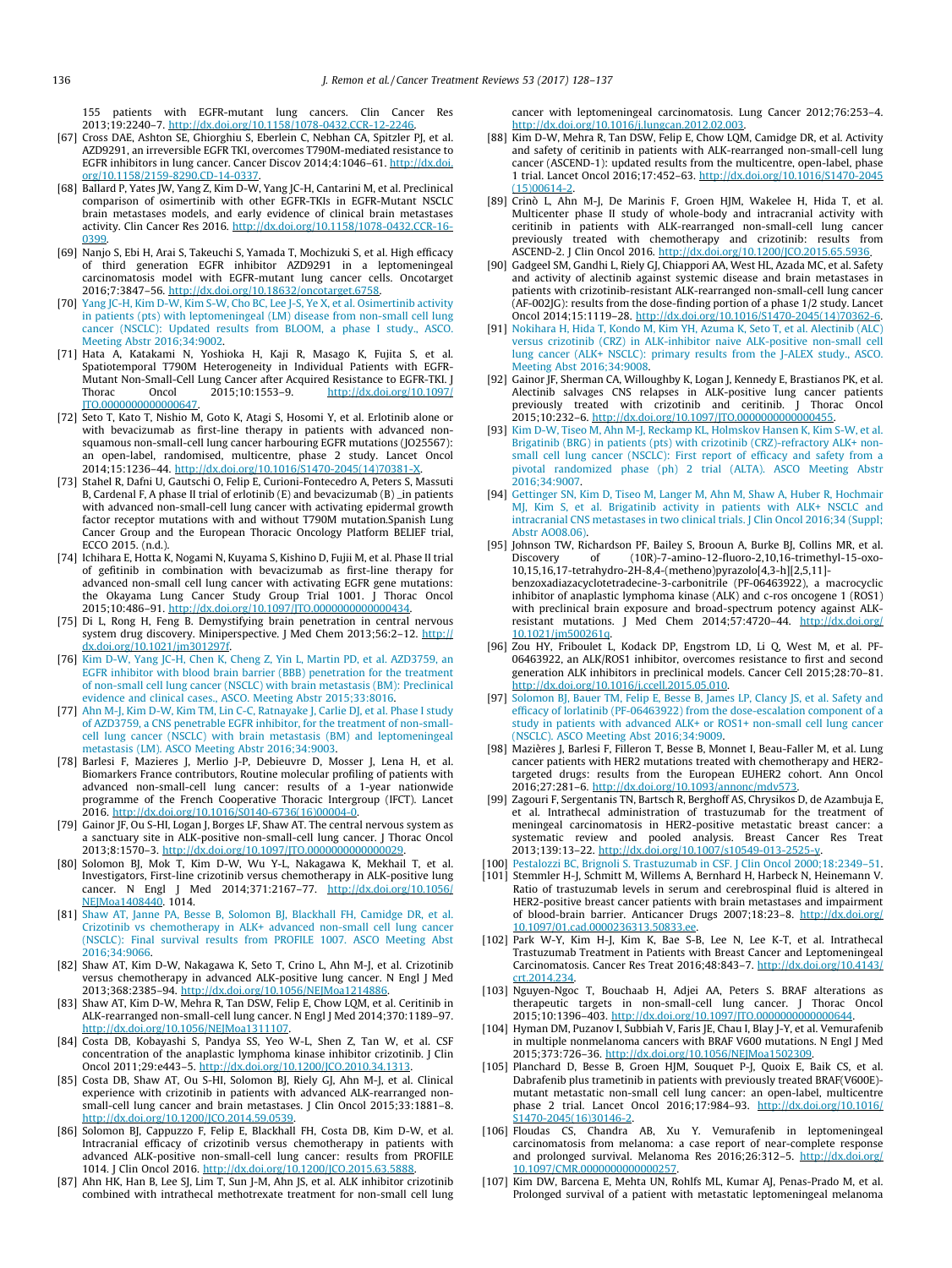<span id="page-8-0"></span>155 patients with EGFR-mutant lung cancers. Clin Cancer Res 2013;19:2240-7. http://dx.doi.org/10.1158/1078-0432.

- [67] Cross DAE, Ashton SE, Ghiorghiu S, Eberlein C, Nebhan CA, Spitzler PJ, et al. AZD9291, an irreversible EGFR TKI, overcomes T790M-mediated resistance to EGFR inhibitors in lung cancer. Cancer Discov 2014;4:1046–61. [http://dx.doi.](http://dx.doi.org/10.1158/2159-8290.CD-14-0337) [org/10.1158/2159-8290.CD-14-0337.](http://dx.doi.org/10.1158/2159-8290.CD-14-0337)
- [68] Ballard P, Yates JW, Yang Z, Kim D-W, Yang JC-H, Cantarini M, et al. Preclinical comparison of osimertinib with other EGFR-TKIs in EGFR-Mutant NSCLC brain metastases models, and early evidence of clinical brain metastases activity. Clin Cancer Res 2016. [http://dx.doi.org/10.1158/1078-0432.CCR-16-](http://dx.doi.org/10.1158/1078-0432.CCR-16-0399) [0399.](http://dx.doi.org/10.1158/1078-0432.CCR-16-0399)
- [69] Nanjo S, Ebi H, Arai S, Takeuchi S, Yamada T, Mochizuki S, et al. High efficacy of third generation EGFR inhibitor AZD9291 in a leptomeningeal carcinomatosis model with EGFR-mutant lung cancer cells. Oncotarget 2016;7:3847–56. <http://dx.doi.org/10.18632/oncotarget.6758>.
- [70] [Yang JC-H, Kim D-W, Kim S-W, Cho BC, Lee J-S, Ye X, et al. Osimertinib activity](http://refhub.elsevier.com/S0305-7372(16)30154-2/h0350) [in patients \(pts\) with leptomeningeal \(LM\) disease from non-small cell lung](http://refhub.elsevier.com/S0305-7372(16)30154-2/h0350) [cancer \(NSCLC\): Updated results from BLOOM, a phase I study., ASCO.](http://refhub.elsevier.com/S0305-7372(16)30154-2/h0350) [Meeting Abstr 2016;34:9002](http://refhub.elsevier.com/S0305-7372(16)30154-2/h0350).
- [71] Hata A, Katakami N, Yoshioka H, Kaji R, Masago K, Fujita S, et al. Spatiotemporal T790M Heterogeneity in Individual Patients with EGFR-Mutant Non-Small-Cell Lung Cancer after Acquired Resistance to EGFR-TKI. J<br>Thorac Oncol 2015:10:1553-9. http://dx.doi.org/10.1097/  $http://dx.doi.$ org/10.1097/ [JTO.0000000000000647.](http://dx.doi.org/10.1097/JTO.0000000000000647)
- [72] Seto T, Kato T, Nishio M, Goto K, Atagi S, Hosomi Y, et al. Erlotinib alone or with bevacizumab as first-line therapy in patients with advanced nonsquamous non-small-cell lung cancer harbouring EGFR mutations (JO25567): an open-label, randomised, multicentre, phase 2 study. Lancet Oncol 2014;15:1236–44. [http://dx.doi.org/10.1016/S1470-2045\(14\)70381-X](http://dx.doi.org/10.1016/S1470-2045(14)70381-X).
- [73] Stahel R, Dafni U, Gautschi O, Felip E, Curioni-Fontecedro A, Peters S, Massuti B, Cardenal F, A phase II trial of erlotinib (E) and bevacizumab (B) \_in patients with advanced non-small-cell lung cancer with activating epidermal growth factor receptor mutations with and without T790M mutation.Spanish Lung Cancer Group and the European Thoracic Oncology Platform BELIEF trial, ECCO 2015.  $(n d)$ .
- [74] Ichihara E, Hotta K, Nogami N, Kuyama S, Kishino D, Fujii M, et al. Phase II trial of gefitinib in combination with bevacizumab as first-line therapy for advanced non-small cell lung cancer with activating EGFR gene mutations: the Okayama Lung Cancer Study Group Trial 1001. J Thorac Oncol 2015;10:486–91. <http://dx.doi.org/10.1097/JTO.0000000000000434>.
- [75] Di L, Rong H, Feng B. Demystifying brain penetration in central nervous system drug discovery. Miniperspective. J Med Chem 2013;56:2-12. [http://](http://dx.doi.org/10.1021/jm301297f) [dx.doi.org/10.1021/jm301297f.](http://dx.doi.org/10.1021/jm301297f)
- [76] [Kim D-W, Yang JC-H, Chen K, Cheng Z, Yin L, Martin PD, et al. AZD3759, an](http://refhub.elsevier.com/S0305-7372(16)30154-2/h0380) [EGFR inhibitor with blood brain barrier \(BBB\) penetration for the treatment](http://refhub.elsevier.com/S0305-7372(16)30154-2/h0380) [of non-small cell lung cancer \(NSCLC\) with brain metastasis \(BM\): Preclinical](http://refhub.elsevier.com/S0305-7372(16)30154-2/h0380) [evidence and clinical cases., ASCO. Meeting Abstr 2015;33:8016](http://refhub.elsevier.com/S0305-7372(16)30154-2/h0380).
- [77] [Ahn M-J, Kim D-W, Kim TM, Lin C-C, Ratnayake J, Carlie DJ, et al. Phase I study](http://refhub.elsevier.com/S0305-7372(16)30154-2/h0385) [of AZD3759, a CNS penetrable EGFR inhibitor, for the treatment of non-small](http://refhub.elsevier.com/S0305-7372(16)30154-2/h0385)[cell lung cancer \(NSCLC\) with brain metastasis \(BM\) and leptomeningeal](http://refhub.elsevier.com/S0305-7372(16)30154-2/h0385) [metastasis \(LM\). ASCO Meeting Abstr 2016;34:9003.](http://refhub.elsevier.com/S0305-7372(16)30154-2/h0385)
- [78] Barlesi F, Mazieres J, Merlio J-P, Debieuvre D, Mosser J, Lena H, et al. Biomarkers France contributors, Routine molecular profiling of patients with advanced non-small-cell lung cancer: results of a 1-year nationwide programme of the French Cooperative Thoracic Intergroup (IFCT). Lancet 2016. [http://dx.doi.org/10.1016/S0140-6736\(16\)00004-0](http://dx.doi.org/10.1016/S0140-6736(16)00004-0).
- [79] Gainor JF, Ou S-HI, Logan J, Borges LF, Shaw AT. The central nervous system as a sanctuary site in ALK-positive non-small-cell lung cancer. J Thorac Oncol 2013;8:1570–3. [http://dx.doi.org/10.1097/JTO.0000000000000029.](http://dx.doi.org/10.1097/JTO.0000000000000029)
- [80] Solomon BJ, Mok T, Kim D-W, Wu Y-L, Nakagawa K, Mekhail T, et al. Investigators, First-line crizotinib versus chemotherapy in ALK-positive lung cancer. N Engl J Med 2014;371:2167–77. [http://dx.doi.org/10.1056/](http://dx.doi.org/10.1056/NEJMoa1408440) NEIMoa1408440. 1014.
- [81] [Shaw AT, Janne PA, Besse B, Solomon BJ, Blackhall FH, Camidge DR, et al.](http://refhub.elsevier.com/S0305-7372(16)30154-2/h0405) [Crizotinib vs chemotherapy in ALK+ advanced non-small cell lung cancer](http://refhub.elsevier.com/S0305-7372(16)30154-2/h0405) [\(NSCLC\): Final survival results from PROFILE 1007. ASCO Meeting Abst](http://refhub.elsevier.com/S0305-7372(16)30154-2/h0405) [2016;34:9066](http://refhub.elsevier.com/S0305-7372(16)30154-2/h0405).
- [82] Shaw AT, Kim D-W, Nakagawa K, Seto T, Crino L, Ahn M-J, et al. Crizotinib versus chemotherapy in advanced ALK-positive lung cancer. N Engl J Med 2013;368:2385–94. <http://dx.doi.org/10.1056/NEJMoa1214886>.
- [83] Shaw AT, Kim D-W, Mehra R, Tan DSW, Felip E, Chow LQM, et al. Ceritinib in ALK-rearranged non-small-cell lung cancer. N Engl J Med 2014;370:1189–97. [http://dx.doi.org/10.1056/NEJMoa1311107.](http://dx.doi.org/10.1056/NEJMoa1311107)
- [84] Costa DB, Kobayashi S, Pandya SS, Yeo W-L, Shen Z, Tan W, et al. CSF concentration of the anaplastic lymphoma kinase inhibitor crizotinib. J Clin Oncol 2011;29:e443–5. [http://dx.doi.org/10.1200/JCO.2010.34.1313.](http://dx.doi.org/10.1200/JCO.2010.34.1313)
- [85] Costa DB, Shaw AT, Ou S-HI, Solomon BJ, Riely GJ, Ahn M-J, et al. Clinical experience with crizotinib in patients with advanced ALK-rearranged nonsmall-cell lung cancer and brain metastases. J Clin Oncol 2015;33:1881–8. [http://dx.doi.org/10.1200/JCO.2014.59.0539.](http://dx.doi.org/10.1200/JCO.2014.59.0539)
- [86] Solomon BJ, Cappuzzo F, Felip E, Blackhall FH, Costa DB, Kim D-W, et al. Intracranial efficacy of crizotinib versus chemotherapy in patients with advanced ALK-positive non-small-cell lung cancer: results from PROFILE 1014. J Clin Oncol 2016. <http://dx.doi.org/10.1200/JCO.2015.63.5888>.
- [87] Ahn HK, Han B, Lee SJ, Lim T, Sun J-M, Ahn JS, et al. ALK inhibitor crizotinib combined with intrathecal methotrexate treatment for non-small cell lung

cancer with leptomeningeal carcinomatosis. Lung Cancer 2012;76:253–4. [http://dx.doi.org/10.1016/j.lungcan.2012.02.003.](http://dx.doi.org/10.1016/j.lungcan.2012.02.003)

- [88] Kim D-W, Mehra R, Tan DSW, Felip E, Chow LQM, Camidge DR, et al. Activity and safety of ceritinib in patients with ALK-rearranged non-small-cell lung cancer (ASCEND-1): updated results from the multicentre, open-label, phase 1 trial. Lancet Oncol 2016;17:452–63. [http://dx.doi.org/10.1016/S1470-2045](http://dx.doi.org/10.1016/S1470-2045(15)00614-2) [\(15\)00614-2](http://dx.doi.org/10.1016/S1470-2045(15)00614-2).
- [89] Crinò L, Ahn M-J, De Marinis F, Groen HJM, Wakelee H, Hida T, et al. Multicenter phase II study of whole-body and intracranial activity with ceritinib in patients with ALK-rearranged non-small-cell lung cancer previously treated with chemotherapy and crizotinib: results from ASCEND-2. J Clin Oncol 2016. <http://dx.doi.org/10.1200/JCO.2015.65.5936>.
- [90] Gadgeel SM, Gandhi L, Riely GJ, Chiappori AA, West HL, Azada MC, et al. Safety and activity of alectinib against systemic disease and brain metastases in patients with crizotinib-resistant ALK-rearranged non-small-cell lung cancer (AF-002JG): results from the dose-finding portion of a phase 1/2 study. Lancet Oncol 2014;15:1119–28. [http://dx.doi.org/10.1016/S1470-2045\(14\)70362-6](http://dx.doi.org/10.1016/S1470-2045(14)70362-6).
- [91] [Nokihara H, Hida T, Kondo M, Kim YH, Azuma K, Seto T, et al. Alectinib \(ALC\)](http://refhub.elsevier.com/S0305-7372(16)30154-2/h0455) [versus crizotinib \(CRZ\) in ALK-inhibitor naive ALK-positive non-small cell](http://refhub.elsevier.com/S0305-7372(16)30154-2/h0455) [lung cancer \(ALK+ NSCLC\): primary results from the J-ALEX study., ASCO.](http://refhub.elsevier.com/S0305-7372(16)30154-2/h0455) [Meeting Abst 2016;34:9008.](http://refhub.elsevier.com/S0305-7372(16)30154-2/h0455)
- [92] Gainor JF, Sherman CA, Willoughby K, Logan J, Kennedy E, Brastianos PK, et al. Alectinib salvages CNS relapses in ALK-positive lung cancer patients previously treated with crizotinib and ceritinib. J Thorac Oncol 2015;10:232–6. [http://dx.doi.org/10.1097/JTO.0000000000000455.](http://dx.doi.org/10.1097/JTO.0000000000000455)
- [93] [Kim D-W, Tiseo M, Ahn M-J, Reckamp KL, Holmskov Hansen K, Kim S-W, et al.](http://refhub.elsevier.com/S0305-7372(16)30154-2/h0465) [Brigatinib \(BRG\) in patients \(pts\) with crizotinib \(CRZ\)-refractory ALK+ non](http://refhub.elsevier.com/S0305-7372(16)30154-2/h0465)[small cell lung cancer \(NSCLC\): First report of efficacy and safety from a](http://refhub.elsevier.com/S0305-7372(16)30154-2/h0465) [pivotal randomized phase \(ph\) 2 trial \(ALTA\). ASCO Meeting Abstr](http://refhub.elsevier.com/S0305-7372(16)30154-2/h0465) [2016;34:9007](http://refhub.elsevier.com/S0305-7372(16)30154-2/h0465).
- [94] [Gettinger SN, Kim D, Tiseo M, Langer M, Ahn M, Shaw A, Huber R, Hochmair](http://refhub.elsevier.com/S0305-7372(16)30154-2/h0470) [MJ, Kim S, et al. Brigatinib activity in patients with ALK+ NSCLC and](http://refhub.elsevier.com/S0305-7372(16)30154-2/h0470) [intracranial CNS metastases in two clinical trials. J Clin Oncol 2016;34 \(Suppl;](http://refhub.elsevier.com/S0305-7372(16)30154-2/h0470) [Abstr AO08.06\).](http://refhub.elsevier.com/S0305-7372(16)30154-2/h0470)
- [95] Johnson TW, Richardson PF, Bailey S, Brooun A, Burke BJ, Collins MR, et al.  $(10R)$ -7-amino-12-fluoro-2,10,16-trimethyl-15-oxo-10,15,16,17-tetrahydro-2H-8,4-(metheno)pyrazolo[4,3-h][2,5,11] benzoxadiazacyclotetradecine-3-carbonitrile (PF-06463922), a macrocyclic inhibitor of anaplastic lymphoma kinase (ALK) and c-ros oncogene 1 (ROS1) with preclinical brain exposure and broad-spectrum potency against ALKresistant mutations. J Med Chem 2014;57:4720–44. [http://dx.doi.org/](http://dx.doi.org/10.1021/jm500261q) [10.1021/jm500261q.](http://dx.doi.org/10.1021/jm500261q)
- [96] Zou HY, Friboulet L, Kodack DP, Engstrom LD, Li Q, West M, et al. PF-06463922, an ALK/ROS1 inhibitor, overcomes resistance to first and second generation ALK inhibitors in preclinical models. Cancer Cell 2015;28:70–81. <http://dx.doi.org/10.1016/j.ccell.2015.05.010>.
- [97] [Solomon BJ, Bauer TM, Felip E, Besse B, James LP, Clancy JS, et al. Safety and](http://refhub.elsevier.com/S0305-7372(16)30154-2/h0485) [efficacy of lorlatinib \(PF-06463922\) from the dose-escalation component of a](http://refhub.elsevier.com/S0305-7372(16)30154-2/h0485) [study in patients with advanced ALK+ or ROS1+ non-small cell lung cancer](http://refhub.elsevier.com/S0305-7372(16)30154-2/h0485) [\(NSCLC\). ASCO Meeting Abst 2016;34:9009](http://refhub.elsevier.com/S0305-7372(16)30154-2/h0485).
- [98] Mazières J, Barlesi F, Filleron T, Besse B, Monnet I, Beau-Faller M, et al. Lung cancer patients with HER2 mutations treated with chemotherapy and HER2 targeted drugs: results from the European EUHER2 cohort. Ann Oncol 2016;27:281–6. [http://dx.doi.org/10.1093/annonc/mdv573.](http://dx.doi.org/10.1093/annonc/mdv573)
- [99] Zagouri F, Sergentanis TN, Bartsch R, Berghoff AS, Chrysikos D, de Azambuja E, et al. Intrathecal administration of trastuzumab for the treatment of meningeal carcinomatosis in HER2-positive metastatic breast cancer: a systematic review and pooled analysis. Breast Cancer Res Treat 2013;139:13–22. <http://dx.doi.org/10.1007/s10549-013-2525-y>.
- [100] [Pestalozzi BC, Brignoli S. Trastuzumab in CSF. J Clin Oncol 2000;18:2349–51](http://refhub.elsevier.com/S0305-7372(16)30154-2/h0500).
- [101] Stemmler H-J, Schmitt M, Willems A, Bernhard H, Harbeck N, Heinemann V. Ratio of trastuzumab levels in serum and cerebrospinal fluid is altered in HER2-positive breast cancer patients with brain metastases and impairment of blood-brain barrier. Anticancer Drugs 2007;18:23–8. [http://dx.doi.org/](http://dx.doi.org/10.1097/01.cad.0000236313.50833.ee) [10.1097/01.cad.0000236313.50833.ee.](http://dx.doi.org/10.1097/01.cad.0000236313.50833.ee)
- [102] Park W-Y, Kim H-J, Kim K, Bae S-B, Lee N, Lee K-T, et al. Intrathecal Trastuzumab Treatment in Patients with Breast Cancer and Leptomeningeal Carcinomatosis. Cancer Res Treat 2016;48:843–7. [http://dx.doi.org/10.4143/](http://dx.doi.org/10.4143/crt.2014.234) [crt.2014.234](http://dx.doi.org/10.4143/crt.2014.234).
- [103] Nguyen-Ngoc T, Bouchaab H, Adjei AA, Peters S. BRAF alterations as therapeutic targets in non-small-cell lung cancer. J Thorac Oncol 2015;10:1396–403. [http://dx.doi.org/10.1097/JTO.0000000000000644.](http://dx.doi.org/10.1097/JTO.0000000000000644)
- [104] Hyman DM, Puzanov I, Subbiah V, Faris JE, Chau I, Blay J-Y, et al. Vemurafenib in multiple nonmelanoma cancers with BRAF V600 mutations. N Engl J Med 2015;373:726–36. <http://dx.doi.org/10.1056/NEJMoa1502309>.
- [105] Planchard D, Besse B, Groen HJM, Souquet P-J, Quoix E, Baik CS, et al. Dabrafenib plus trametinib in patients with previously treated BRAF(V600E) mutant metastatic non-small cell lung cancer: an open-label, multicentre phase 2 trial. Lancet Oncol 2016;17:984–93. [http://dx.doi.org/10.1016/](http://dx.doi.org/10.1016/S1470-2045(16)30146-2) [S1470-2045\(16\)30146-2](http://dx.doi.org/10.1016/S1470-2045(16)30146-2).
- [106] Floudas CS, Chandra AB, Xu Y. Vemurafenib in leptomeningeal carcinomatosis from melanoma: a case report of near-complete response and prolonged survival. Melanoma Res 2016;26:312–5. [http://dx.doi.org/](http://dx.doi.org/10.1097/CMR.0000000000000257) [10.1097/CMR.0000000000000257.](http://dx.doi.org/10.1097/CMR.0000000000000257)
- [107] Kim DW, Barcena E, Mehta UN, Rohlfs ML, Kumar AJ, Penas-Prado M, et al. Prolonged survival of a patient with metastatic leptomeningeal melanoma